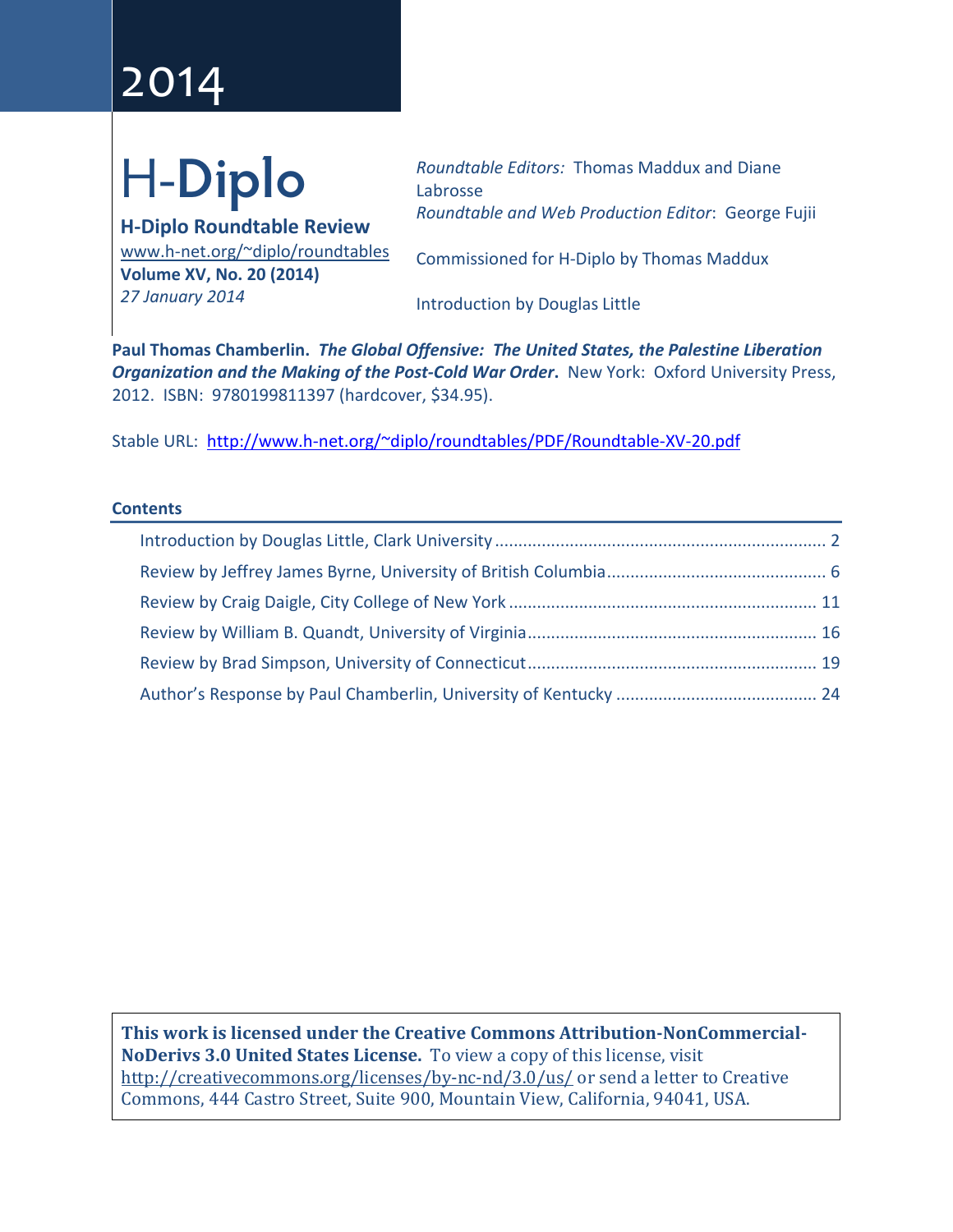# 2014

# H-**Diplo**

**H-Diplo Roundtable Review** [www.h-net.org/~diplo/roundtables](http://www.h-net.org/%7Ediplo/roundtables) **Volume XV, No. 20 (2014)** *27 January 2014*

*Roundtable Editors:* Thomas Maddux and Diane Labrosse *Roundtable and Web Production Editor*: George Fujii

Commissioned for H-Diplo by Thomas Maddux

Introduction by Douglas Little

**Paul Thomas Chamberlin.** *The Global Offensive: The United States, the Palestine Liberation Organization and the Making of the Post-Cold War Order*. New York: Oxford University Press, 2012. ISBN: 9780199811397 (hardcover, \$34.95).

Stable URL: [http://www.h-net.org/~diplo/roundtables/PDF/Roundtable-XV-20.pdf](http://www.h-net.org/%7Ediplo/roundtables/PDF/Roundtable-XV-20.pdf)

#### **Contents**

**This work is licensed under the Creative Commons Attribution-NonCommercial-NoDerivs 3.0 United States License.** To view a copy of this license, visit <http://creativecommons.org/licenses/by-nc-nd/3.0/us/> or send a letter to Creative Commons, 444 Castro Street, Suite 900, Mountain View, California, 94041, USA.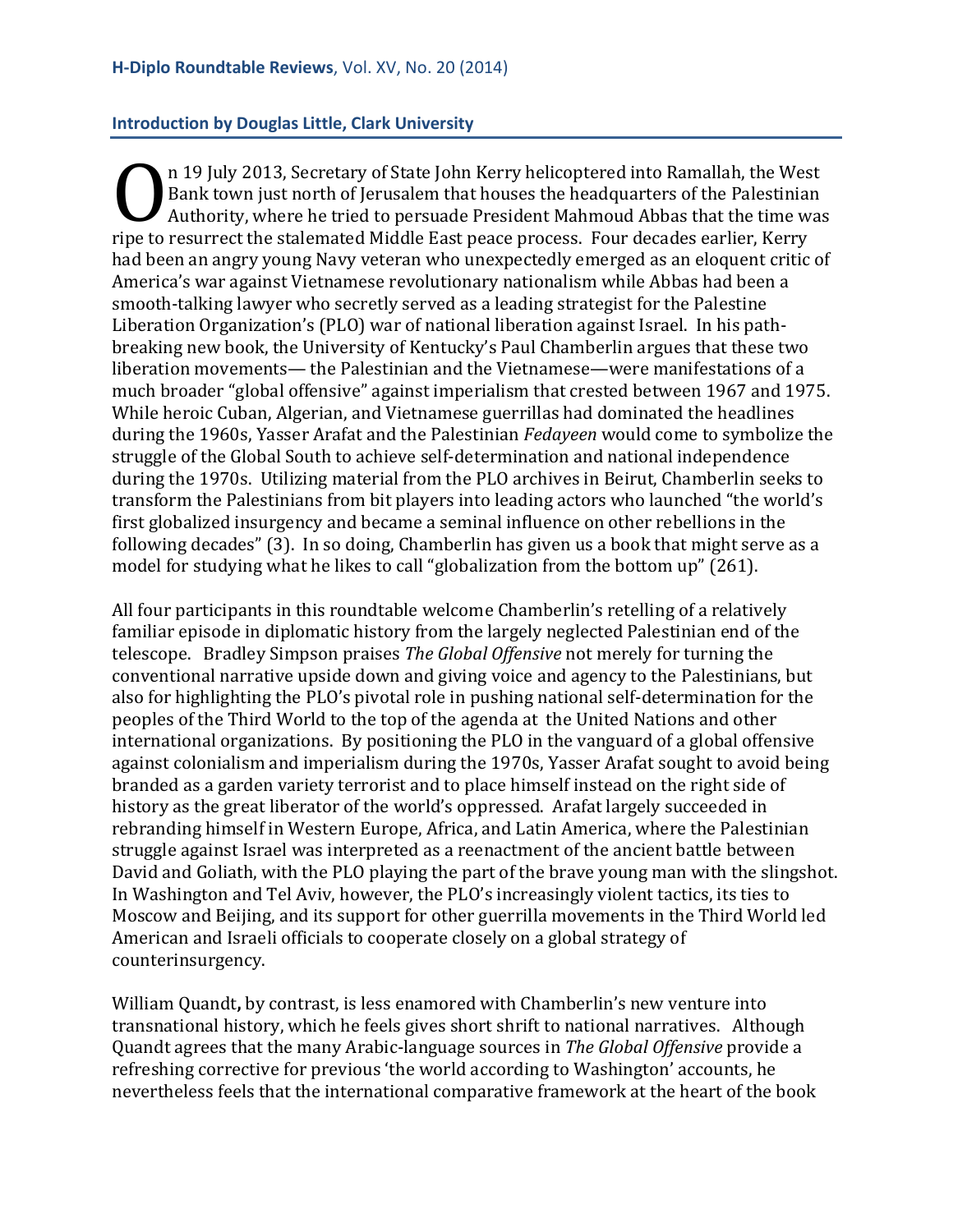#### <span id="page-1-0"></span>**Introduction by Douglas Little, Clark University**

n 19 July 2013, Secretary of State John Kerry helicoptered into Ramallah, the West Bank town just north of Jerusalem that houses the headquarters of the Palestinian Authority, where he tried to persuade President Mahmoud Abbas that the time was First 2013, Secretary of State John Kerry hencoptered into Kantanan, the West Bank town just north of Jerusalem that houses the headquarters of the Palestinian Authority, where he tried to persuade President Mahmoud Abbas had been an angry young Navy veteran who unexpectedly emerged as an eloquent critic of America's war against Vietnamese revolutionary nationalism while Abbas had been a smooth-talking lawyer who secretly served as a leading strategist for the Palestine Liberation Organization's (PLO) war of national liberation against Israel. In his pathbreaking new book, the University of Kentucky's Paul Chamberlin argues that these two liberation movements— the Palestinian and the Vietnamese—were manifestations of a much broader "global offensive" against imperialism that crested between 1967 and 1975. While heroic Cuban, Algerian, and Vietnamese guerrillas had dominated the headlines during the 1960s, Yasser Arafat and the Palestinian *Fedayeen* would come to symbolize the struggle of the Global South to achieve self-determination and national independence during the 1970s. Utilizing material from the PLO archives in Beirut, Chamberlin seeks to transform the Palestinians from bit players into leading actors who launched "the world's first globalized insurgency and became a seminal influence on other rebellions in the following decades" (3). In so doing, Chamberlin has given us a book that might serve as a model for studying what he likes to call "globalization from the bottom up" (261).

All four participants in this roundtable welcome Chamberlin's retelling of a relatively familiar episode in diplomatic history from the largely neglected Palestinian end of the telescope. Bradley Simpson praises *The Global Offensive* not merely for turning the conventional narrative upside down and giving voice and agency to the Palestinians, but also for highlighting the PLO's pivotal role in pushing national self-determination for the peoples of the Third World to the top of the agenda at the United Nations and other international organizations. By positioning the PLO in the vanguard of a global offensive against colonialism and imperialism during the 1970s, Yasser Arafat sought to avoid being branded as a garden variety terrorist and to place himself instead on the right side of history as the great liberator of the world's oppressed. Arafat largely succeeded in rebranding himself in Western Europe, Africa, and Latin America, where the Palestinian struggle against Israel was interpreted as a reenactment of the ancient battle between David and Goliath, with the PLO playing the part of the brave young man with the slingshot. In Washington and Tel Aviv, however, the PLO's increasingly violent tactics, its ties to Moscow and Beijing, and its support for other guerrilla movements in the Third World led American and Israeli officials to cooperate closely on a global strategy of counterinsurgency.

William Quandt**,** by contrast, is less enamored with Chamberlin's new venture into transnational history, which he feels gives short shrift to national narratives. Although Quandt agrees that the many Arabic-language sources in *The Global Offensive* provide a refreshing corrective for previous 'the world according to Washington' accounts, he nevertheless feels that the international comparative framework at the heart of the book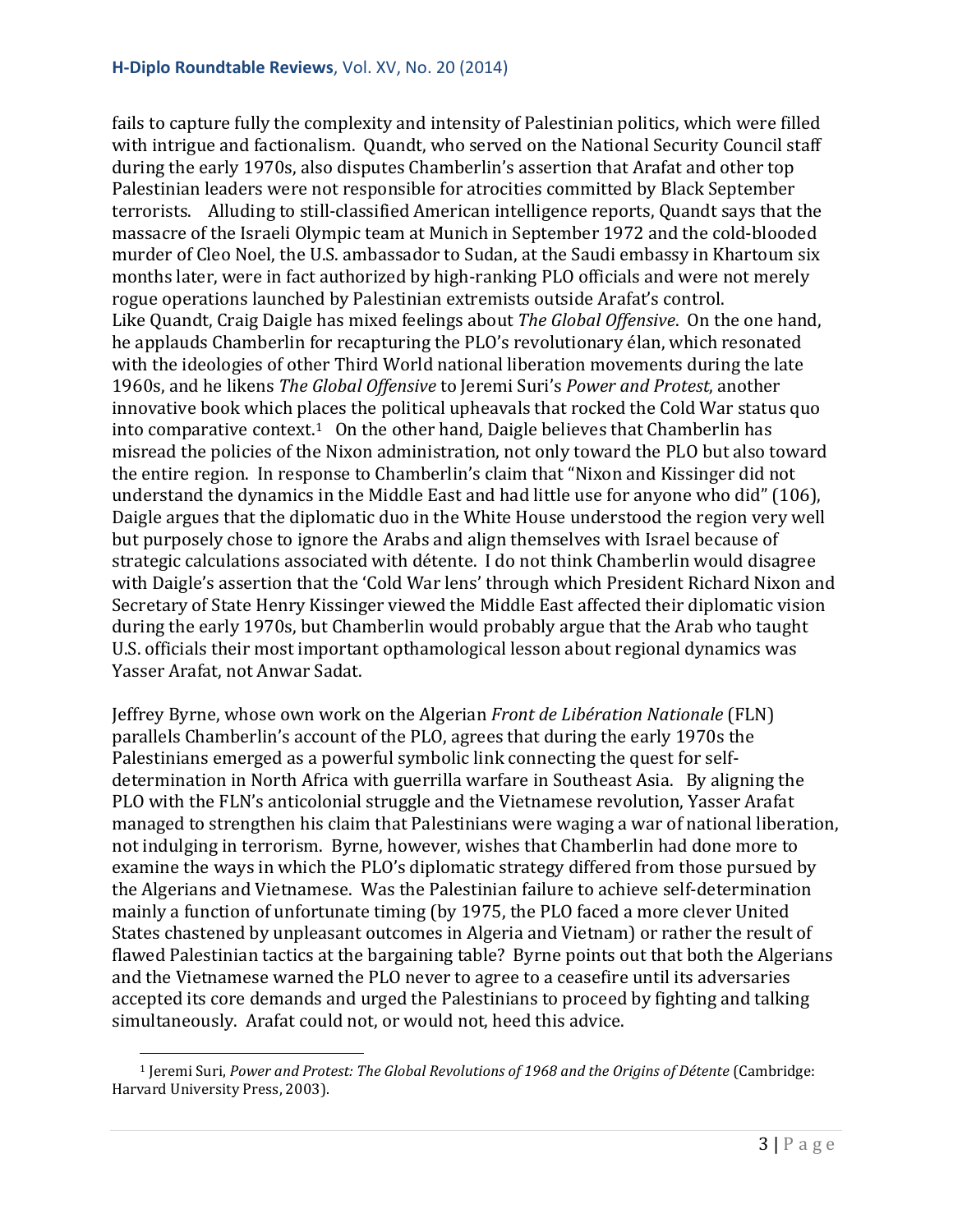fails to capture fully the complexity and intensity of Palestinian politics, which were filled with intrigue and factionalism. Quandt, who served on the National Security Council staff during the early 1970s, also disputes Chamberlin's assertion that Arafat and other top Palestinian leaders were not responsible for atrocities committed by Black September terrorists. Alluding to still-classified American intelligence reports, Quandt says that the massacre of the Israeli Olympic team at Munich in September 1972 and the cold-blooded murder of Cleo Noel, the U.S. ambassador to Sudan, at the Saudi embassy in Khartoum six months later, were in fact authorized by high-ranking PLO officials and were not merely rogue operations launched by Palestinian extremists outside Arafat's control. Like Quandt, Craig Daigle has mixed feelings about *The Global Offensive*. On the one hand, he applauds Chamberlin for recapturing the PLO's revolutionary élan, which resonated with the ideologies of other Third World national liberation movements during the late 1960s, and he likens *The Global Offensive* to Jeremi Suri's *Power and Protest*, another innovative book which places the political upheavals that rocked the Cold War status quo into comparative context.<sup>1</sup> On the other hand, Daigle believes that Chamberlin has misread the policies of the Nixon administration, not only toward the PLO but also toward the entire region. In response to Chamberlin's claim that "Nixon and Kissinger did not understand the dynamics in the Middle East and had little use for anyone who did" (106), Daigle argues that the diplomatic duo in the White House understood the region very well but purposely chose to ignore the Arabs and align themselves with Israel because of strategic calculations associated with détente. I do not think Chamberlin would disagree with Daigle's assertion that the 'Cold War lens' through which President Richard Nixon and Secretary of State Henry Kissinger viewed the Middle East affected their diplomatic vision during the early 1970s, but Chamberlin would probably argue that the Arab who taught U.S. officials their most important opthamological lesson about regional dynamics was Yasser Arafat, not Anwar Sadat.

Jeffrey Byrne, whose own work on the Algerian *Front de Libération Nationale* (FLN) parallels Chamberlin's account of the PLO, agrees that during the early 1970s the Palestinians emerged as a powerful symbolic link connecting the quest for selfdetermination in North Africa with guerrilla warfare in Southeast Asia. By aligning the PLO with the FLN's anticolonial struggle and the Vietnamese revolution, Yasser Arafat managed to strengthen his claim that Palestinians were waging a war of national liberation, not indulging in terrorism. Byrne, however, wishes that Chamberlin had done more to examine the ways in which the PLO's diplomatic strategy differed from those pursued by the Algerians and Vietnamese. Was the Palestinian failure to achieve self-determination mainly a function of unfortunate timing (by 1975, the PLO faced a more clever United States chastened by unpleasant outcomes in Algeria and Vietnam) or rather the result of flawed Palestinian tactics at the bargaining table? Byrne points out that both the Algerians and the Vietnamese warned the PLO never to agree to a ceasefire until its adversaries accepted its core demands and urged the Palestinians to proceed by fighting and talking simultaneously. Arafat could not, or would not, heed this advice.

<span id="page-2-0"></span><sup>1</sup> Jeremi Suri, *Power and Protest: The Global Revolutions of 1968 and the Origins of Détente* (Cambridge: Harvard University Press, 2003). i<br>I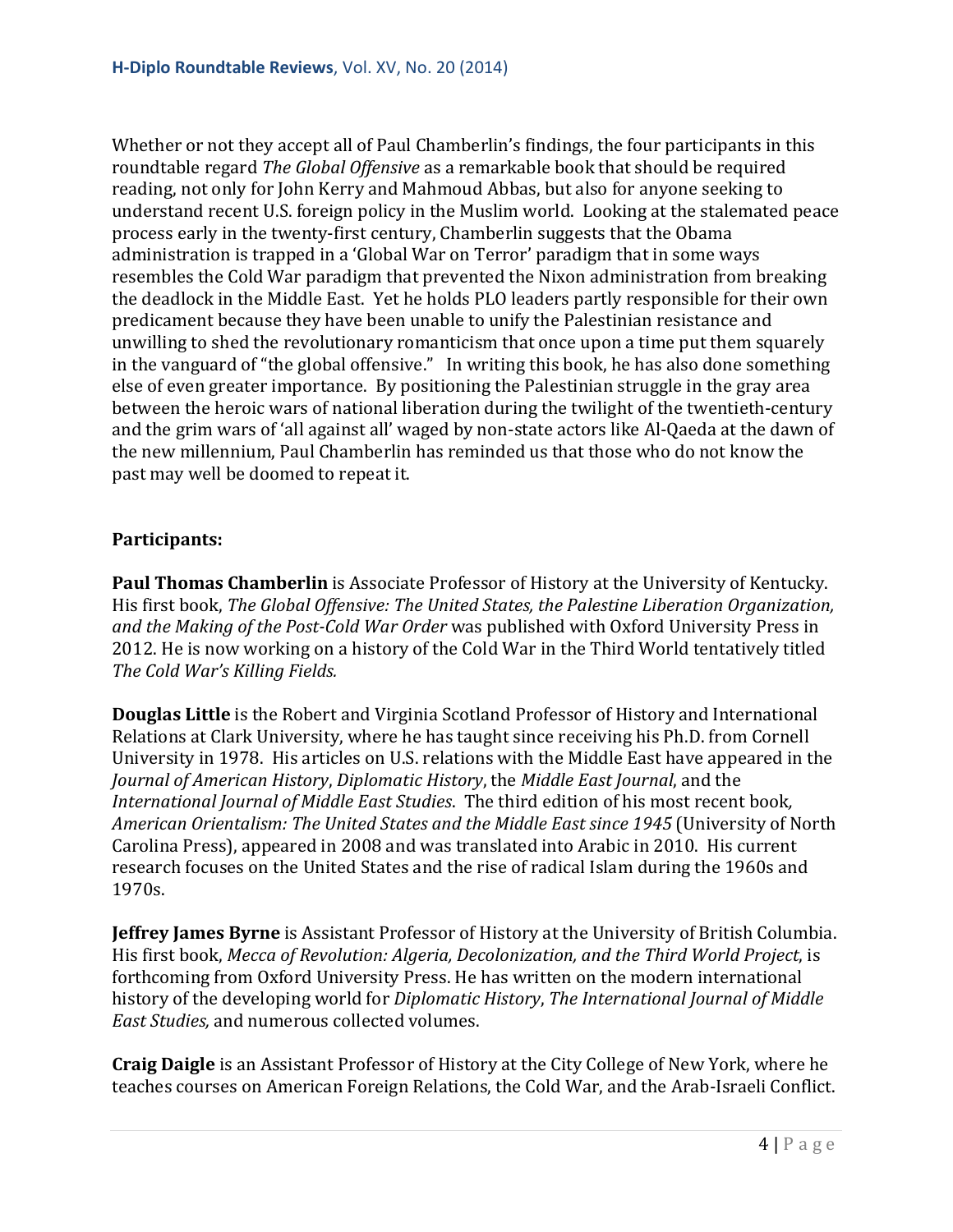Whether or not they accept all of Paul Chamberlin's findings, the four participants in this roundtable regard *The Global Offensive* as a remarkable book that should be required reading, not only for John Kerry and Mahmoud Abbas, but also for anyone seeking to understand recent U.S. foreign policy in the Muslim world. Looking at the stalemated peace process early in the twenty-first century, Chamberlin suggests that the Obama administration is trapped in a 'Global War on Terror' paradigm that in some ways resembles the Cold War paradigm that prevented the Nixon administration from breaking the deadlock in the Middle East. Yet he holds PLO leaders partly responsible for their own predicament because they have been unable to unify the Palestinian resistance and unwilling to shed the revolutionary romanticism that once upon a time put them squarely in the vanguard of "the global offensive." In writing this book, he has also done something else of even greater importance. By positioning the Palestinian struggle in the gray area between the heroic wars of national liberation during the twilight of the twentieth-century and the grim wars of 'all against all' waged by non-state actors like Al-Qaeda at the dawn of the new millennium, Paul Chamberlin has reminded us that those who do not know the past may well be doomed to repeat it.

## **Participants:**

**Paul Thomas Chamberlin** is Associate Professor of History at the University of Kentucky. His first book, *The Global Offensive: The United States, the Palestine Liberation Organization, and the Making of the Post-Cold War Order* was published with Oxford University Press in 2012. He is now working on a history of the Cold War in the Third World tentatively titled *The Cold War's Killing Fields.*

**Douglas Little** is the Robert and Virginia Scotland Professor of History and International Relations at Clark University, where he has taught since receiving his Ph.D. from Cornell University in 1978. His articles on U.S. relations with the Middle East have appeared in the *Journal of American History*, *Diplomatic History*, the *Middle East Journal*, and the *International Journal of Middle East Studies*. The third edition of his most recent book*, American Orientalism: The United States and the Middle East since 1945* (University of North Carolina Press), appeared in 2008 and was translated into Arabic in 2010. His current research focuses on the United States and the rise of radical Islam during the 1960s and 1970s.

**Jeffrey James Byrne** is Assistant Professor of History at the University of British Columbia. His first book, *Mecca of Revolution: Algeria, Decolonization, and the Third World Project*, is forthcoming from Oxford University Press. He has written on the modern international history of the developing world for *Diplomatic History*, *The International Journal of Middle East Studies,* and numerous collected volumes.

**Craig Daigle** is an Assistant Professor of History at the City College of New York, where he teaches courses on American Foreign Relations, the Cold War, and the Arab-Israeli Conflict.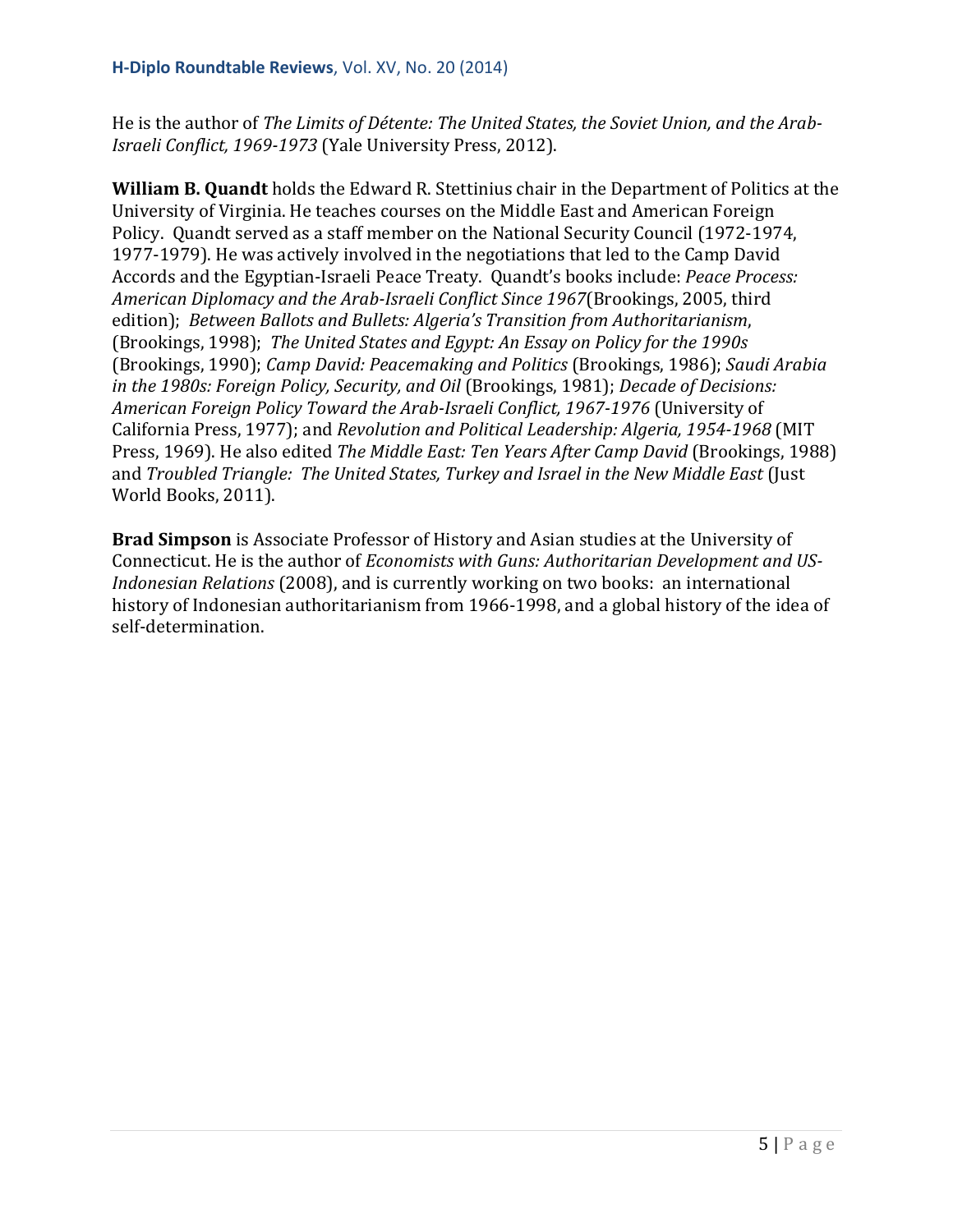He is the author of *The Limits of Détente: The United States, the Soviet Union, and the Arab-Israeli Conflict, 1969-1973* (Yale University Press, 2012).

**William B. Quandt** holds the Edward R. Stettinius chair in the Department of Politics at the University of Virginia. He teaches courses on the Middle East and American Foreign Policy. Quandt served as a staff member on the National Security Council (1972-1974, 1977-1979). He was actively involved in the negotiations that led to the Camp David Accords and the Egyptian-Israeli Peace Treaty. Quandt's books include: *Peace Process: American Diplomacy and the Arab-Israeli Conflict Since 1967*(Brookings, 2005, third edition); *Between Ballots and Bullets: Algeria's Transition from Authoritarianism*, (Brookings, 1998); *The United States and Egypt: An Essay on Policy for the 1990s* (Brookings, 1990); *Camp David: Peacemaking and Politics* (Brookings, 1986); *Saudi Arabia in the 1980s: Foreign Policy, Security, and Oil* (Brookings, 1981); *Decade of Decisions: American Foreign Policy Toward the Arab-Israeli Conflict, 1967-1976* (University of California Press, 1977); and *Revolution and Political Leadership: Algeria, 1954-1968* (MIT Press, 1969). He also edited *The Middle East: Ten Years After Camp David* (Brookings, 1988) and *Troubled Triangle: The United States, Turkey and Israel in the New Middle East* (Just World Books, 2011).

**Brad Simpson** is Associate Professor of History and Asian studies at the University of Connecticut. He is the author of *Economists with Guns: Authoritarian Development and US-Indonesian Relations* (2008), and is currently working on two books: an international history of Indonesian authoritarianism from 1966-1998, and a global history of the idea of self-determination.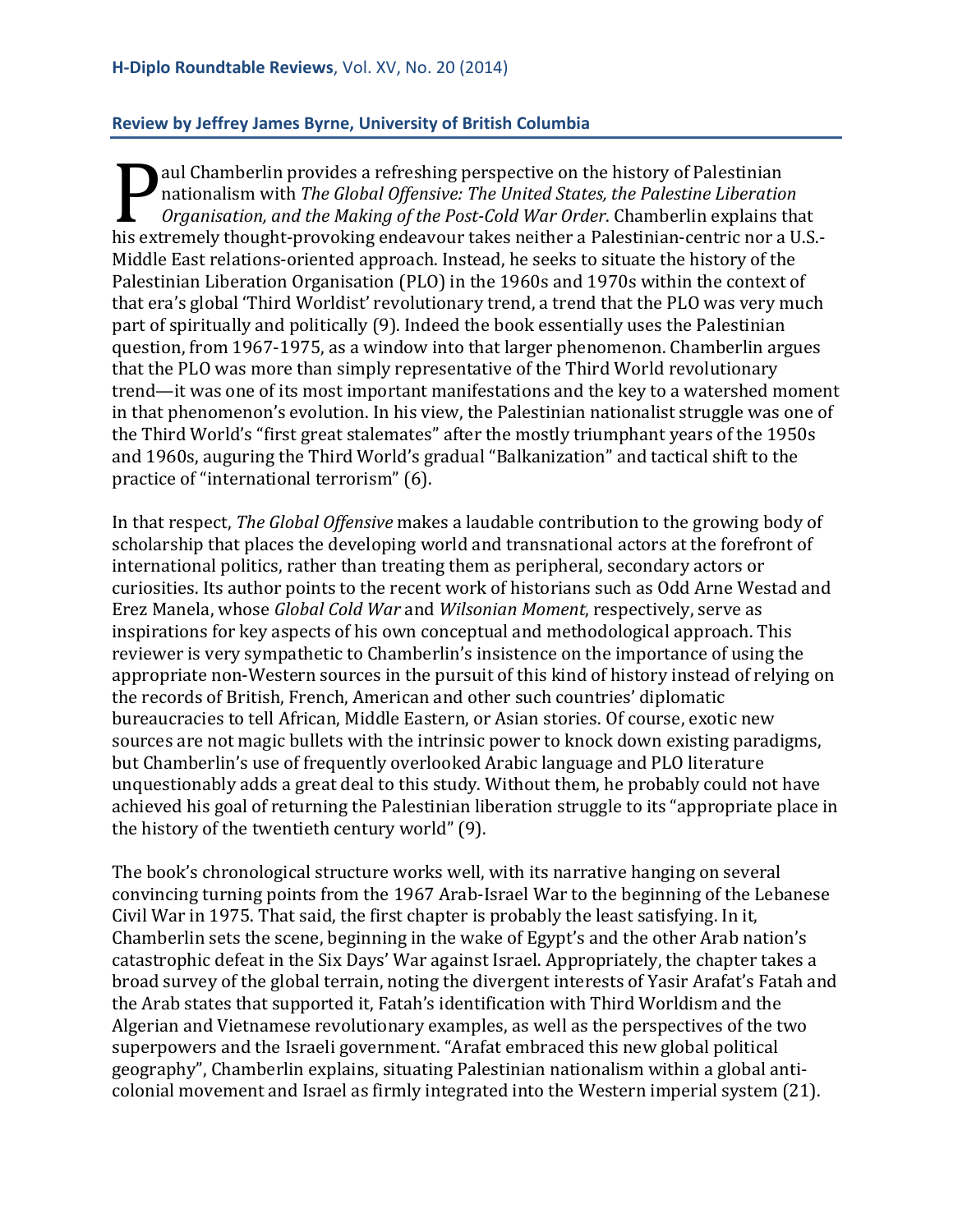# <span id="page-5-0"></span>**Review by Jeffrey James Byrne, University of British Columbia**

aul Chamberlin provides a refreshing perspective on the history of Palestinian nationalism with *The Global Offensive: The United States, the Palestine Liberation Organisation, and the Making of the Post-Cold War Order*. Chamberlin explains that add chamber in provides a refreshing perspective on the first or y or a destinant<br>nationalism with *The Global Offensive: The United States, the Palestine Liberation*<br>*Organisation, and the Making of the Post-Cold War Orde* Middle East relations-oriented approach. Instead, he seeks to situate the history of the Palestinian Liberation Organisation (PLO) in the 1960s and 1970s within the context of that era's global 'Third Worldist' revolutionary trend, a trend that the PLO was very much part of spiritually and politically (9). Indeed the book essentially uses the Palestinian question, from 1967-1975, as a window into that larger phenomenon. Chamberlin argues that the PLO was more than simply representative of the Third World revolutionary trend—it was one of its most important manifestations and the key to a watershed moment in that phenomenon's evolution. In his view, the Palestinian nationalist struggle was one of the Third World's "first great stalemates" after the mostly triumphant years of the 1950s and 1960s, auguring the Third World's gradual "Balkanization" and tactical shift to the practice of "international terrorism" (6).

In that respect, *The Global Offensive* makes a laudable contribution to the growing body of scholarship that places the developing world and transnational actors at the forefront of international politics, rather than treating them as peripheral, secondary actors or curiosities. Its author points to the recent work of historians such as Odd Arne Westad and Erez Manela, whose *Global Cold War* and *Wilsonian Moment*, respectively, serve as inspirations for key aspects of his own conceptual and methodological approach. This reviewer is very sympathetic to Chamberlin's insistence on the importance of using the appropriate non-Western sources in the pursuit of this kind of history instead of relying on the records of British, French, American and other such countries' diplomatic bureaucracies to tell African, Middle Eastern, or Asian stories. Of course, exotic new sources are not magic bullets with the intrinsic power to knock down existing paradigms, but Chamberlin's use of frequently overlooked Arabic language and PLO literature unquestionably adds a great deal to this study. Without them, he probably could not have achieved his goal of returning the Palestinian liberation struggle to its "appropriate place in the history of the twentieth century world" (9).

The book's chronological structure works well, with its narrative hanging on several convincing turning points from the 1967 Arab-Israel War to the beginning of the Lebanese Civil War in 1975. That said, the first chapter is probably the least satisfying. In it, Chamberlin sets the scene, beginning in the wake of Egypt's and the other Arab nation's catastrophic defeat in the Six Days' War against Israel. Appropriately, the chapter takes a broad survey of the global terrain, noting the divergent interests of Yasir Arafat's Fatah and the Arab states that supported it, Fatah's identification with Third Worldism and the Algerian and Vietnamese revolutionary examples, as well as the perspectives of the two superpowers and the Israeli government. "Arafat embraced this new global political geography", Chamberlin explains, situating Palestinian nationalism within a global anticolonial movement and Israel as firmly integrated into the Western imperial system (21).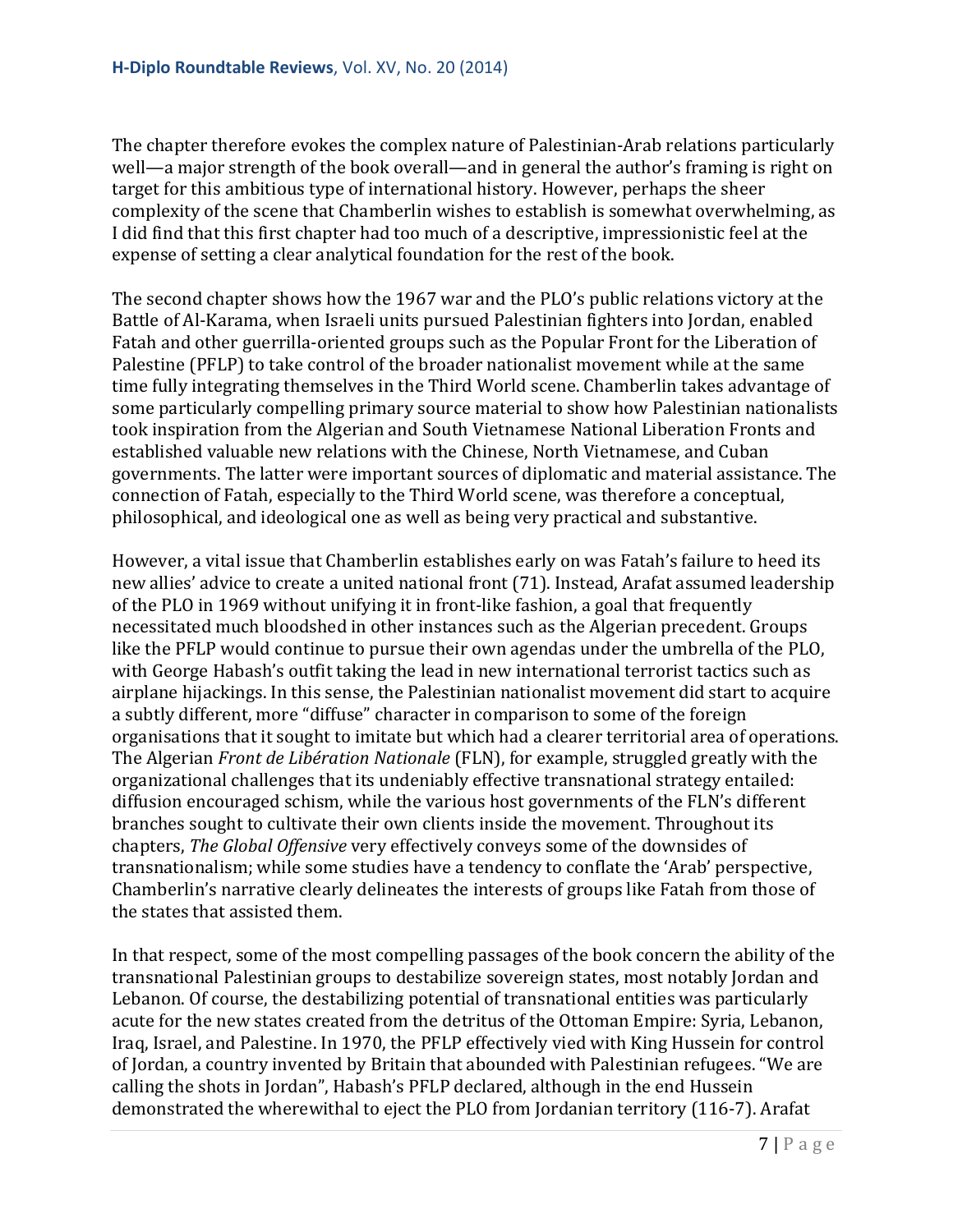The chapter therefore evokes the complex nature of Palestinian-Arab relations particularly well—a major strength of the book overall—and in general the author's framing is right on target for this ambitious type of international history. However, perhaps the sheer complexity of the scene that Chamberlin wishes to establish is somewhat overwhelming, as I did find that this first chapter had too much of a descriptive, impressionistic feel at the expense of setting a clear analytical foundation for the rest of the book.

The second chapter shows how the 1967 war and the PLO's public relations victory at the Battle of Al-Karama, when Israeli units pursued Palestinian fighters into Jordan, enabled Fatah and other guerrilla-oriented groups such as the Popular Front for the Liberation of Palestine (PFLP) to take control of the broader nationalist movement while at the same time fully integrating themselves in the Third World scene. Chamberlin takes advantage of some particularly compelling primary source material to show how Palestinian nationalists took inspiration from the Algerian and South Vietnamese National Liberation Fronts and established valuable new relations with the Chinese, North Vietnamese, and Cuban governments. The latter were important sources of diplomatic and material assistance. The connection of Fatah, especially to the Third World scene, was therefore a conceptual, philosophical, and ideological one as well as being very practical and substantive.

However, a vital issue that Chamberlin establishes early on was Fatah's failure to heed its new allies' advice to create a united national front (71). Instead, Arafat assumed leadership of the PLO in 1969 without unifying it in front-like fashion, a goal that frequently necessitated much bloodshed in other instances such as the Algerian precedent. Groups like the PFLP would continue to pursue their own agendas under the umbrella of the PLO, with George Habash's outfit taking the lead in new international terrorist tactics such as airplane hijackings. In this sense, the Palestinian nationalist movement did start to acquire a subtly different, more "diffuse" character in comparison to some of the foreign organisations that it sought to imitate but which had a clearer territorial area of operations. The Algerian *Front de Libération Nationale* (FLN), for example, struggled greatly with the organizational challenges that its undeniably effective transnational strategy entailed: diffusion encouraged schism, while the various host governments of the FLN's different branches sought to cultivate their own clients inside the movement. Throughout its chapters, *The Global Offensive* very effectively conveys some of the downsides of transnationalism; while some studies have a tendency to conflate the 'Arab' perspective, Chamberlin's narrative clearly delineates the interests of groups like Fatah from those of the states that assisted them.

In that respect, some of the most compelling passages of the book concern the ability of the transnational Palestinian groups to destabilize sovereign states, most notably Jordan and Lebanon. Of course, the destabilizing potential of transnational entities was particularly acute for the new states created from the detritus of the Ottoman Empire: Syria, Lebanon, Iraq, Israel, and Palestine. In 1970, the PFLP effectively vied with King Hussein for control of Jordan, a country invented by Britain that abounded with Palestinian refugees. "We are calling the shots in Jordan", Habash's PFLP declared, although in the end Hussein demonstrated the wherewithal to eject the PLO from Jordanian territory (116-7). Arafat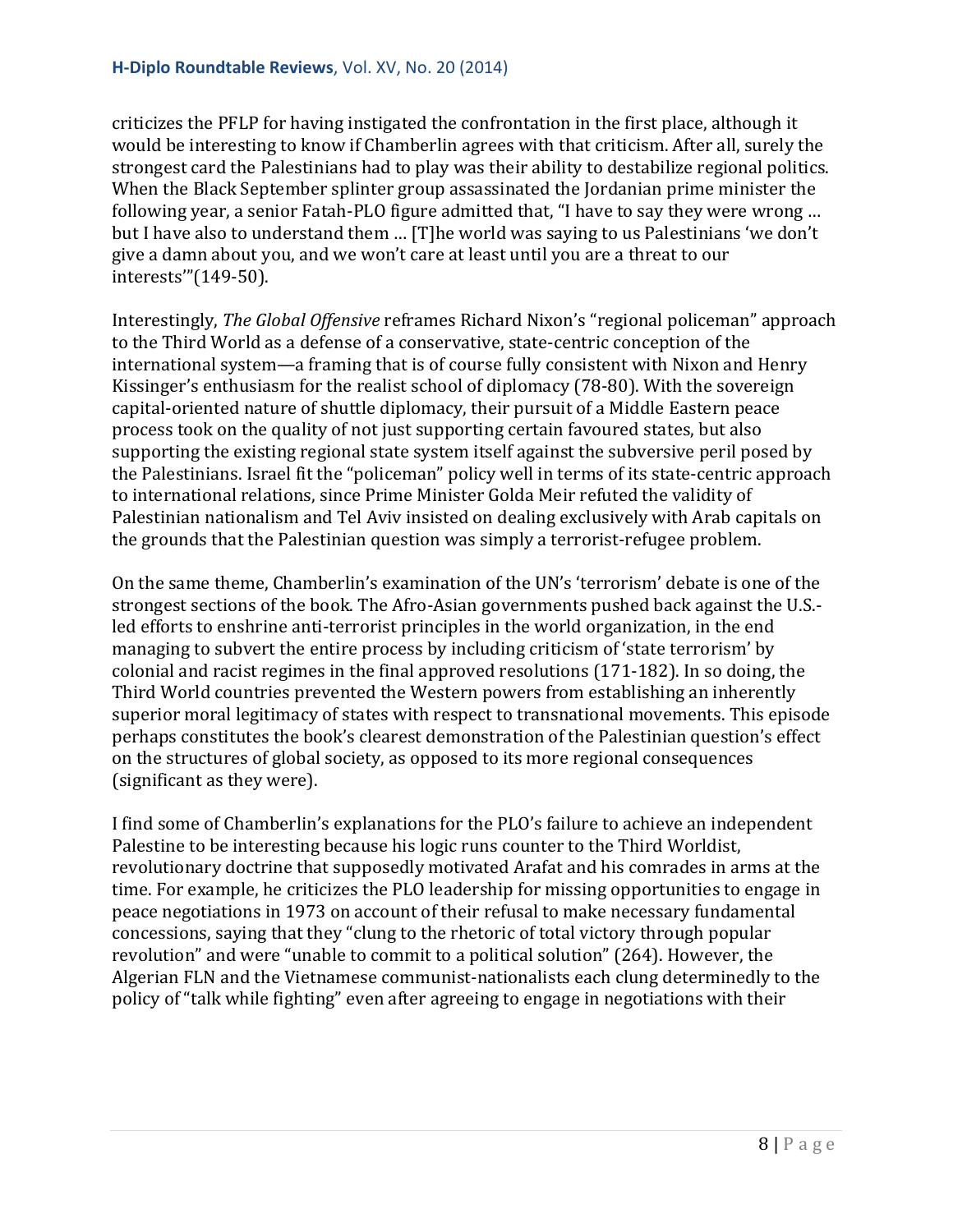criticizes the PFLP for having instigated the confrontation in the first place, although it would be interesting to know if Chamberlin agrees with that criticism. After all, surely the strongest card the Palestinians had to play was their ability to destabilize regional politics. When the Black September splinter group assassinated the Jordanian prime minister the following year, a senior Fatah-PLO figure admitted that, "I have to say they were wrong … but I have also to understand them … [T]he world was saying to us Palestinians 'we don't give a damn about you, and we won't care at least until you are a threat to our interests'"(149-50).

Interestingly, *The Global Offensive* reframes Richard Nixon's "regional policeman" approach to the Third World as a defense of a conservative, state-centric conception of the international system—a framing that is of course fully consistent with Nixon and Henry Kissinger's enthusiasm for the realist school of diplomacy (78-80). With the sovereign capital-oriented nature of shuttle diplomacy, their pursuit of a Middle Eastern peace process took on the quality of not just supporting certain favoured states, but also supporting the existing regional state system itself against the subversive peril posed by the Palestinians. Israel fit the "policeman" policy well in terms of its state-centric approach to international relations, since Prime Minister Golda Meir refuted the validity of Palestinian nationalism and Tel Aviv insisted on dealing exclusively with Arab capitals on the grounds that the Palestinian question was simply a terrorist-refugee problem.

On the same theme, Chamberlin's examination of the UN's 'terrorism' debate is one of the strongest sections of the book. The Afro-Asian governments pushed back against the U.S. led efforts to enshrine anti-terrorist principles in the world organization, in the end managing to subvert the entire process by including criticism of 'state terrorism' by colonial and racist regimes in the final approved resolutions (171-182). In so doing, the Third World countries prevented the Western powers from establishing an inherently superior moral legitimacy of states with respect to transnational movements. This episode perhaps constitutes the book's clearest demonstration of the Palestinian question's effect on the structures of global society, as opposed to its more regional consequences (significant as they were).

I find some of Chamberlin's explanations for the PLO's failure to achieve an independent Palestine to be interesting because his logic runs counter to the Third Worldist, revolutionary doctrine that supposedly motivated Arafat and his comrades in arms at the time. For example, he criticizes the PLO leadership for missing opportunities to engage in peace negotiations in 1973 on account of their refusal to make necessary fundamental concessions, saying that they "clung to the rhetoric of total victory through popular revolution" and were "unable to commit to a political solution" (264). However, the Algerian FLN and the Vietnamese communist-nationalists each clung determinedly to the policy of "talk while fighting" even after agreeing to engage in negotiations with their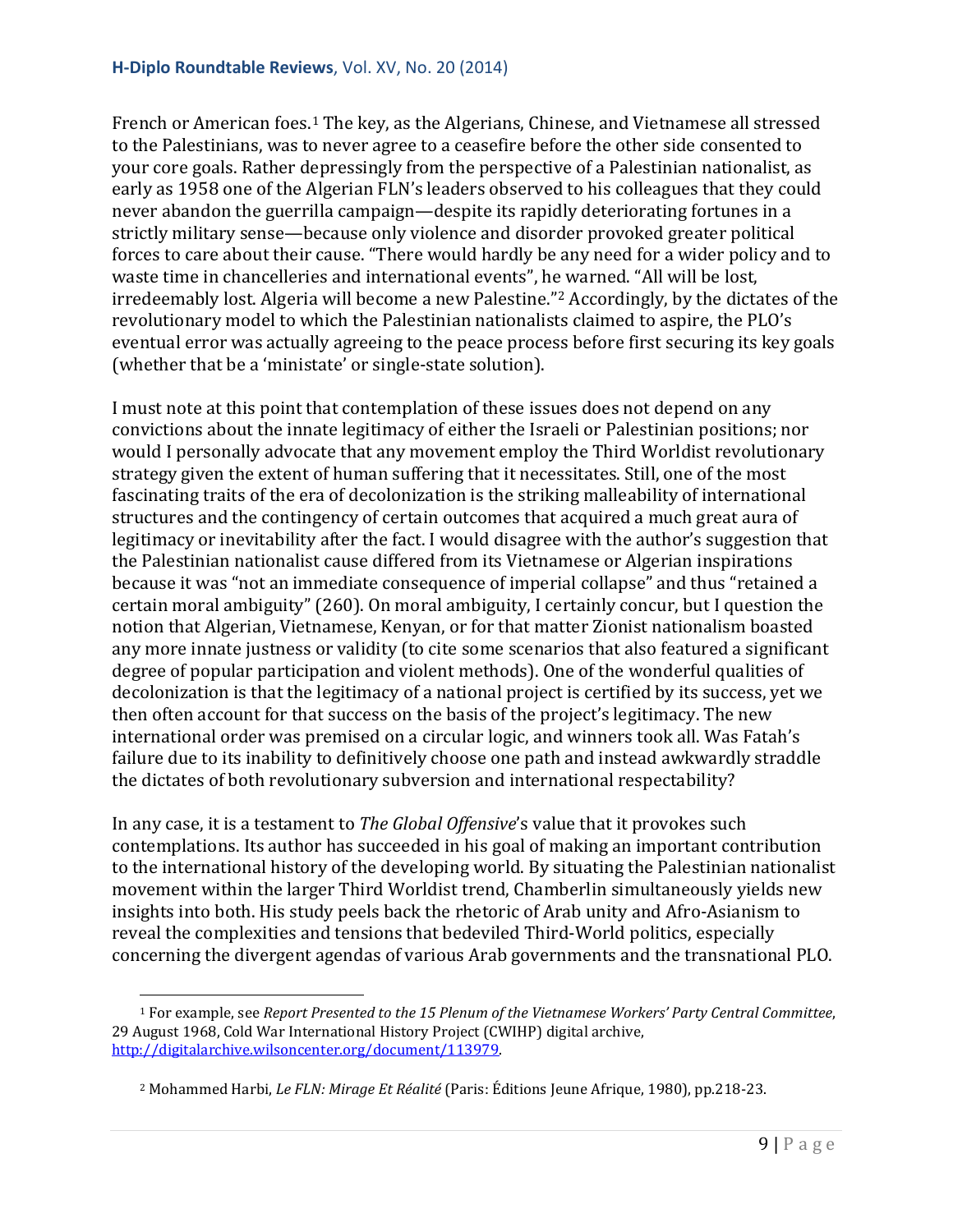French or American foes.<sup>[1](#page-8-0)</sup> The key, as the Algerians, Chinese, and Vietnamese all stressed to the Palestinians, was to never agree to a ceasefire before the other side consented to your core goals. Rather depressingly from the perspective of a Palestinian nationalist, as early as 1958 one of the Algerian FLN's leaders observed to his colleagues that they could never abandon the guerrilla campaign—despite its rapidly deteriorating fortunes in a strictly military sense—because only violence and disorder provoked greater political forces to care about their cause. "There would hardly be any need for a wider policy and to waste time in chancelleries and international events", he warned. "All will be lost, irredeemably lost. Algeria will become a new Palestine."[2](#page-8-1) Accordingly, by the dictates of the revolutionary model to which the Palestinian nationalists claimed to aspire, the PLO's eventual error was actually agreeing to the peace process before first securing its key goals (whether that be a 'ministate' or single-state solution).

I must note at this point that contemplation of these issues does not depend on any convictions about the innate legitimacy of either the Israeli or Palestinian positions; nor would I personally advocate that any movement employ the Third Worldist revolutionary strategy given the extent of human suffering that it necessitates. Still, one of the most fascinating traits of the era of decolonization is the striking malleability of international structures and the contingency of certain outcomes that acquired a much great aura of legitimacy or inevitability after the fact. I would disagree with the author's suggestion that the Palestinian nationalist cause differed from its Vietnamese or Algerian inspirations because it was "not an immediate consequence of imperial collapse" and thus "retained a certain moral ambiguity" (260). On moral ambiguity, I certainly concur, but I question the notion that Algerian, Vietnamese, Kenyan, or for that matter Zionist nationalism boasted any more innate justness or validity (to cite some scenarios that also featured a significant degree of popular participation and violent methods). One of the wonderful qualities of decolonization is that the legitimacy of a national project is certified by its success, yet we then often account for that success on the basis of the project's legitimacy. The new international order was premised on a circular logic, and winners took all. Was Fatah's failure due to its inability to definitively choose one path and instead awkwardly straddle the dictates of both revolutionary subversion and international respectability?

In any case, it is a testament to *The Global Offensive*'s value that it provokes such contemplations. Its author has succeeded in his goal of making an important contribution to the international history of the developing world. By situating the Palestinian nationalist movement within the larger Third Worldist trend, Chamberlin simultaneously yields new insights into both. His study peels back the rhetoric of Arab unity and Afro-Asianism to reveal the complexities and tensions that bedeviled Third-World politics, especially concerning the divergent agendas of various Arab governments and the transnational PLO.

<span id="page-8-0"></span><sup>1</sup> For example, see *Report Presented to the 15 Plenum of the Vietnamese Workers' Party Central Committee*, 29 August 1968, Cold War International History Project (CWIHP) digital archive, [http://digitalarchive.wilsoncenter.org/document/113979.](http://digitalarchive.wilsoncenter.org/document/113979) i<br>I

<span id="page-8-1"></span><sup>&</sup>lt;sup>2</sup> Mohammed Harbi, *Le FLN: Mirage Et Réalité* (Paris: Éditions Jeune Afrique, 1980), pp.218-23.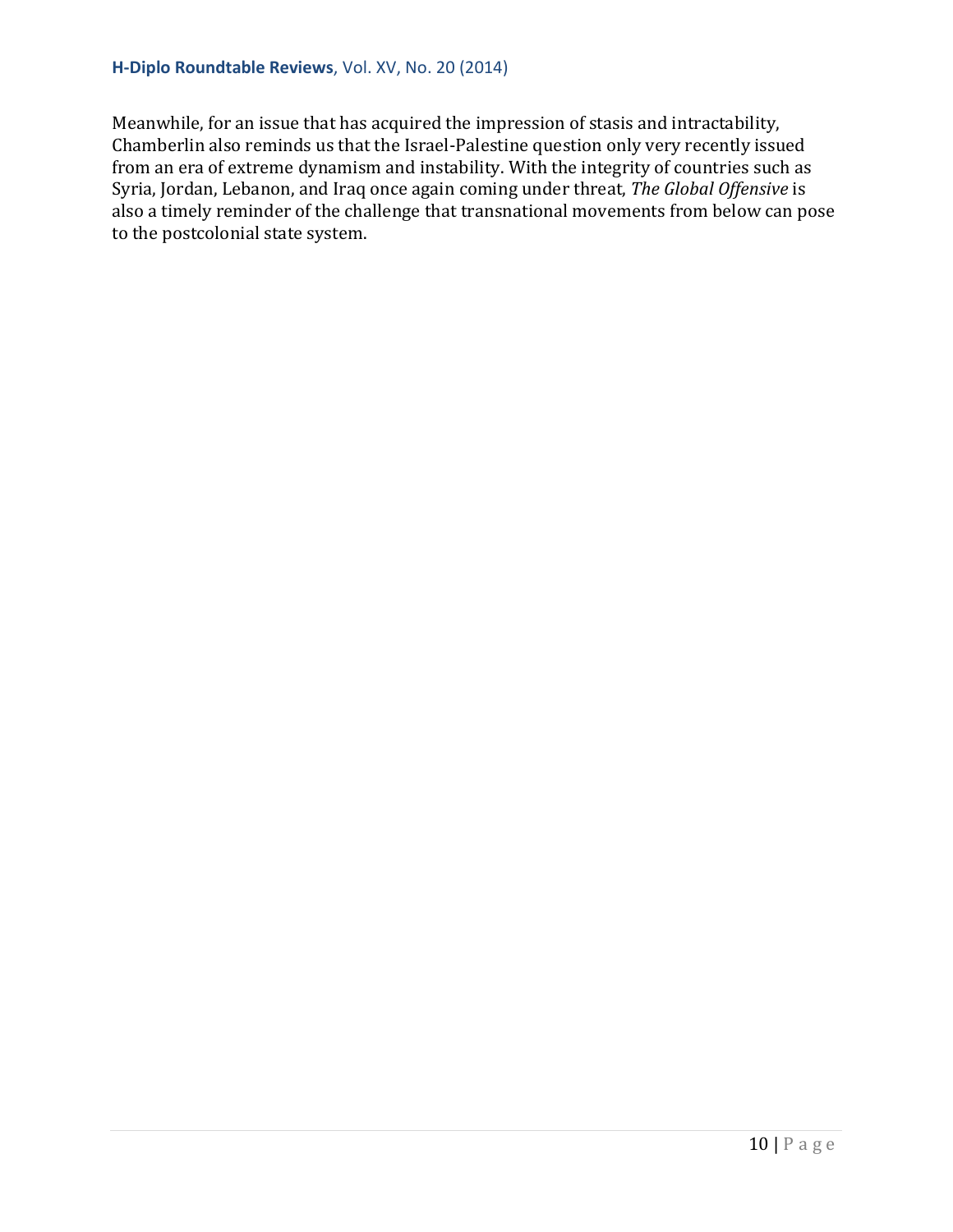#### **H-Diplo Roundtable Reviews**, Vol. XV, No. 20 (2014)

Meanwhile, for an issue that has acquired the impression of stasis and intractability, Chamberlin also reminds us that the Israel-Palestine question only very recently issued from an era of extreme dynamism and instability. With the integrity of countries such as Syria, Jordan, Lebanon, and Iraq once again coming under threat, *The Global Offensive* is also a timely reminder of the challenge that transnational movements from below can pose to the postcolonial state system.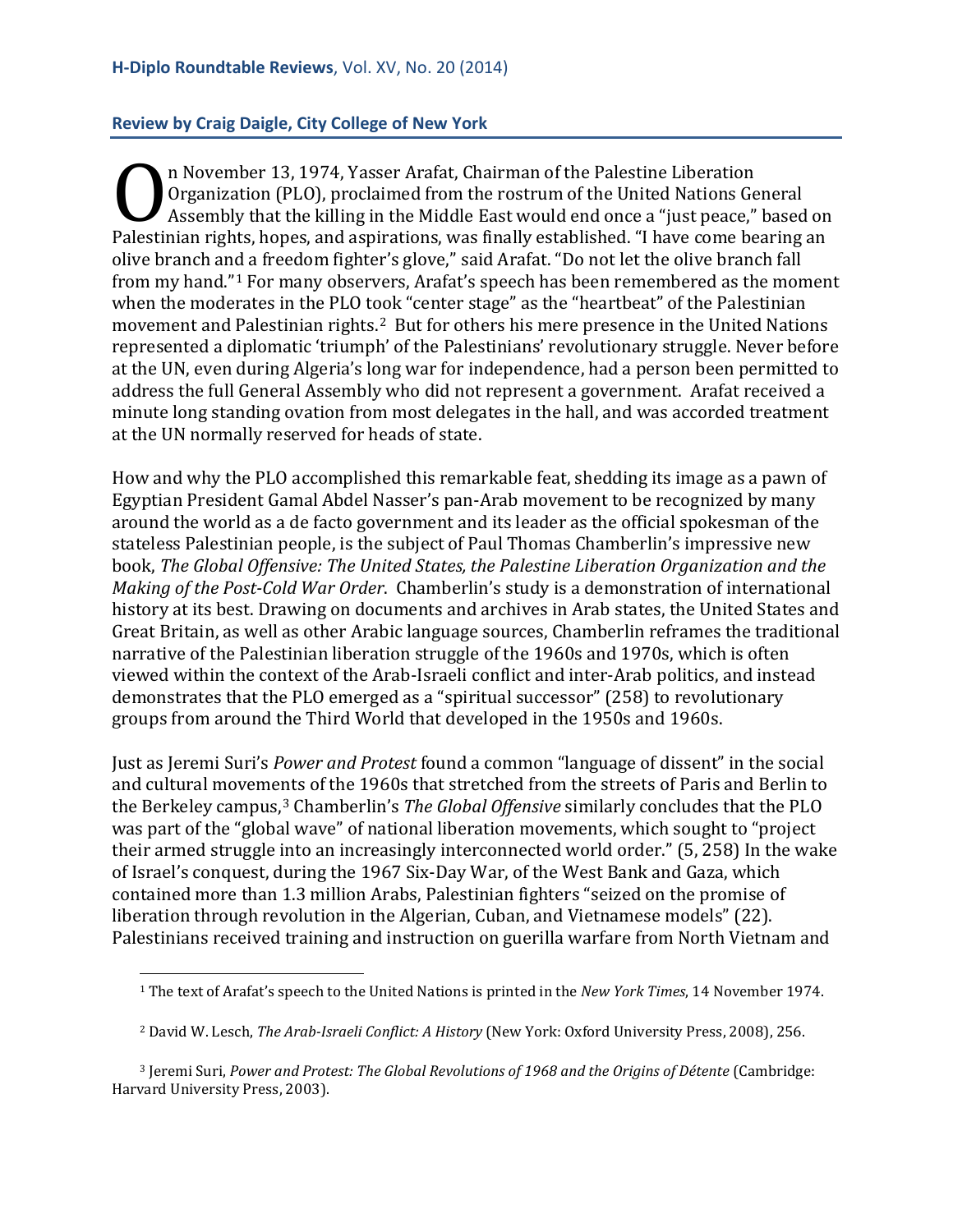<span id="page-10-0"></span>**Review by Craig Daigle, City College of New York**

n November 13, 1974, Yasser Arafat, Chairman of the Palestine Liberation Organization (PLO), proclaimed from the rostrum of the United Nations General Assembly that the killing in the Middle East would end once a "just peace," based on **Comparison** (PLO), proclaimed from the rostrum of the United Nations General<br>Assembly that the killing in the Middle East would end once a "just peace," based on<br>Palestinian rights, hopes, and aspirations, was finally est olive branch and a freedom fighter's glove," said Arafat. "Do not let the olive branch fall from my hand."[1](#page-10-1) For many observers, Arafat's speech has been remembered as the moment when the moderates in the PLO took "center stage" as the "heartbeat" of the Palestinian movement and Palestinian rights.[2](#page-10-2) But for others his mere presence in the United Nations represented a diplomatic 'triumph' of the Palestinians' revolutionary struggle. Never before at the UN, even during Algeria's long war for independence, had a person been permitted to address the full General Assembly who did not represent a government. Arafat received a minute long standing ovation from most delegates in the hall, and was accorded treatment at the UN normally reserved for heads of state.

How and why the PLO accomplished this remarkable feat, shedding its image as a pawn of Egyptian President Gamal Abdel Nasser's pan-Arab movement to be recognized by many around the world as a de facto government and its leader as the official spokesman of the stateless Palestinian people, is the subject of Paul Thomas Chamberlin's impressive new book, *The Global Offensive: The United States, the Palestine Liberation Organization and the Making of the Post-Cold War Order*. Chamberlin's study is a demonstration of international history at its best. Drawing on documents and archives in Arab states, the United States and Great Britain, as well as other Arabic language sources, Chamberlin reframes the traditional narrative of the Palestinian liberation struggle of the 1960s and 1970s, which is often viewed within the context of the Arab-Israeli conflict and inter-Arab politics, and instead demonstrates that the PLO emerged as a "spiritual successor" (258) to revolutionary groups from around the Third World that developed in the 1950s and 1960s.

Just as Jeremi Suri's *Power and Protest* found a common "language of dissent" in the social and cultural moveme[n](#page-10-3)ts of the 1960s that stretched from the streets of Paris and Berlin to the Berkeley campus, <sup>3</sup> Chamberlin's *The Global Offensive* similarly concludes that the PLO was part of the "global wave" of national liberation movements, which sought to "project their armed struggle into an increasingly interconnected world order." (5, 258) In the wake of Israel's conquest, during the 1967 Six-Day War, of the West Bank and Gaza, which contained more than 1.3 million Arabs, Palestinian fighters "seized on the promise of liberation through revolution in the Algerian, Cuban, and Vietnamese models" (22). Palestinians received training and instruction on guerilla warfare from North Vietnam and

<sup>1</sup> The text of Arafat's speech to the United Nations is printed in the *New York Times*, 14 November 1974. I

<sup>2</sup> David W. Lesch, *The Arab-Israeli Conflict: A History* (New York: Oxford University Press, 2008), 256.

<span id="page-10-3"></span><span id="page-10-2"></span><span id="page-10-1"></span><sup>3</sup> Jeremi Suri, *Power and Protest: The Global Revolutions of 1968 and the Origins of Détente* (Cambridge: Harvard University Press, 2003).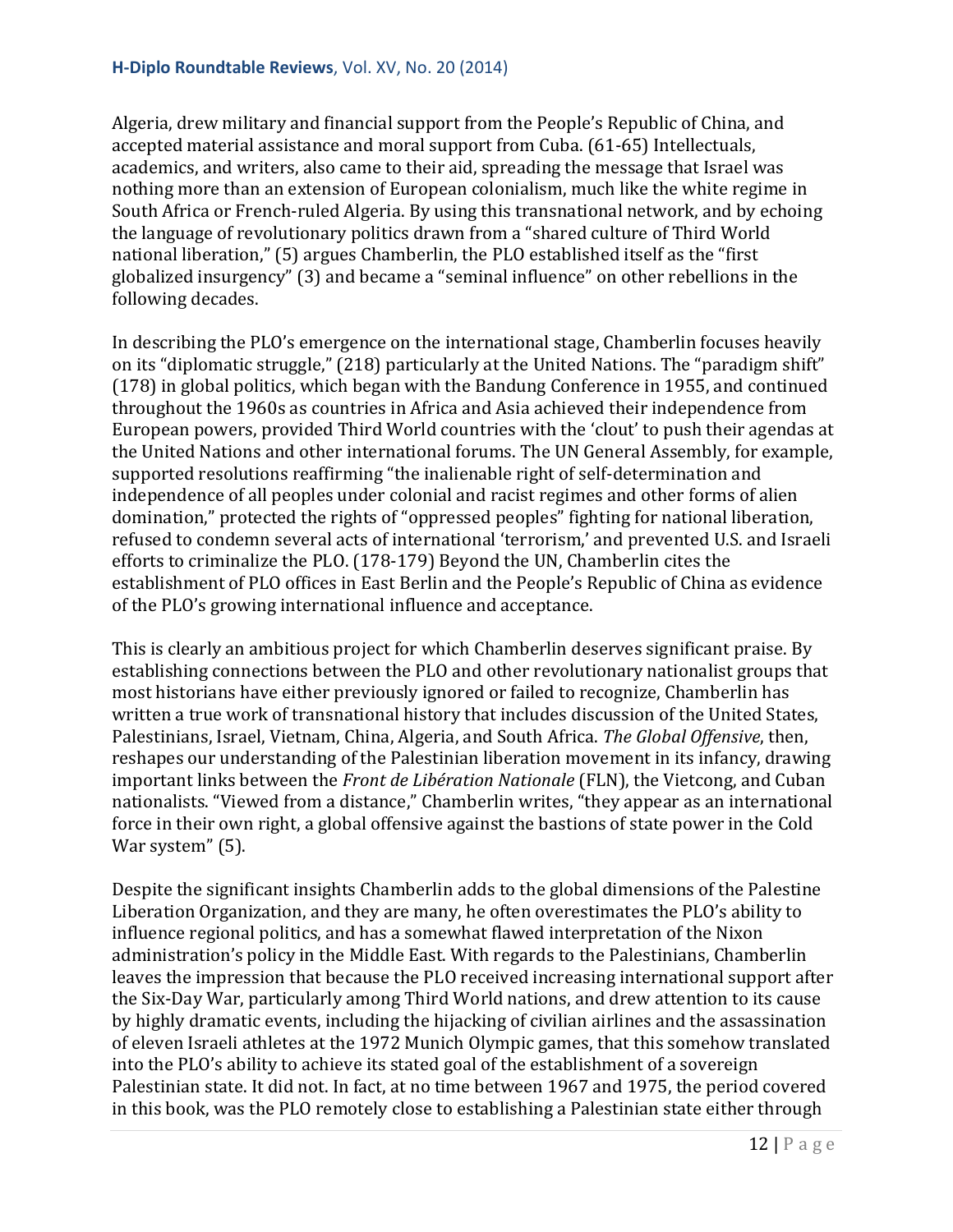Algeria, drew military and financial support from the People's Republic of China, and accepted material assistance and moral support from Cuba. (61-65) Intellectuals, academics, and writers, also came to their aid, spreading the message that Israel was nothing more than an extension of European colonialism, much like the white regime in South Africa or French-ruled Algeria. By using this transnational network, and by echoing the language of revolutionary politics drawn from a "shared culture of Third World national liberation," (5) argues Chamberlin, the PLO established itself as the "first globalized insurgency" (3) and became a "seminal influence" on other rebellions in the following decades.

In describing the PLO's emergence on the international stage, Chamberlin focuses heavily on its "diplomatic struggle," (218) particularly at the United Nations. The "paradigm shift" (178) in global politics, which began with the Bandung Conference in 1955, and continued throughout the 1960s as countries in Africa and Asia achieved their independence from European powers, provided Third World countries with the 'clout' to push their agendas at the United Nations and other international forums. The UN General Assembly, for example, supported resolutions reaffirming "the inalienable right of self-determination and independence of all peoples under colonial and racist regimes and other forms of alien domination," protected the rights of "oppressed peoples" fighting for national liberation, refused to condemn several acts of international 'terrorism,' and prevented U.S. and Israeli efforts to criminalize the PLO. (178-179) Beyond the UN, Chamberlin cites the establishment of PLO offices in East Berlin and the People's Republic of China as evidence of the PLO's growing international influence and acceptance.

This is clearly an ambitious project for which Chamberlin deserves significant praise. By establishing connections between the PLO and other revolutionary nationalist groups that most historians have either previously ignored or failed to recognize, Chamberlin has written a true work of transnational history that includes discussion of the United States, Palestinians, Israel, Vietnam, China, Algeria, and South Africa. *The Global Offensive*, then, reshapes our understanding of the Palestinian liberation movement in its infancy, drawing important links between the *Front de Libération Nationale* (FLN), the Vietcong, and Cuban nationalists. "Viewed from a distance," Chamberlin writes, "they appear as an international force in their own right, a global offensive against the bastions of state power in the Cold War system" (5).

Despite the significant insights Chamberlin adds to the global dimensions of the Palestine Liberation Organization, and they are many, he often overestimates the PLO's ability to influence regional politics, and has a somewhat flawed interpretation of the Nixon administration's policy in the Middle East. With regards to the Palestinians, Chamberlin leaves the impression that because the PLO received increasing international support after the Six-Day War, particularly among Third World nations, and drew attention to its cause by highly dramatic events, including the hijacking of civilian airlines and the assassination of eleven Israeli athletes at the 1972 Munich Olympic games, that this somehow translated into the PLO's ability to achieve its stated goal of the establishment of a sovereign Palestinian state. It did not. In fact, at no time between 1967 and 1975, the period covered in this book, was the PLO remotely close to establishing a Palestinian state either through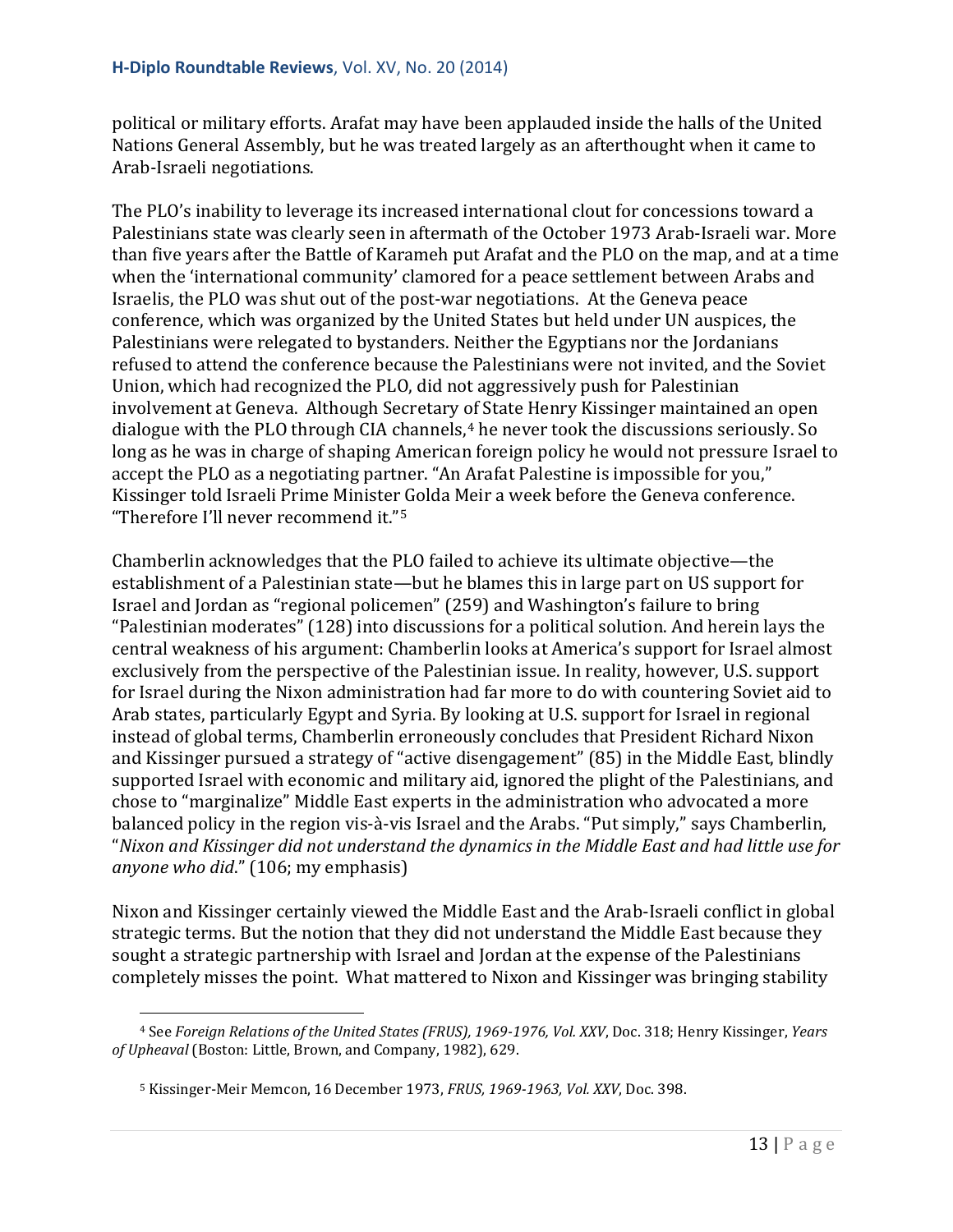political or military efforts. Arafat may have been applauded inside the halls of the United Nations General Assembly, but he was treated largely as an afterthought when it came to Arab-Israeli negotiations.

The PLO's inability to leverage its increased international clout for concessions toward a Palestinians state was clearly seen in aftermath of the October 1973 Arab-Israeli war. More than five years after the Battle of Karameh put Arafat and the PLO on the map, and at a time when the 'international community' clamored for a peace settlement between Arabs and Israelis, the PLO was shut out of the post-war negotiations. At the Geneva peace conference, which was organized by the United States but held under UN auspices, the Palestinians were relegated to bystanders. Neither the Egyptians nor the Jordanians refused to attend the conference because the Palestinians were not invited, and the Soviet Union, which had recognized the PLO, did not aggressively push for Palestinian involvement at Geneva. Although Secretary of State Henry Kissinger maintained an open dialogue with the PLO through CIA channels,<sup>[4](#page-12-0)</sup> he never took the discussions seriously. So long as he was in charge of shaping American foreign policy he would not pressure Israel to accept the PLO as a negotiating partner. "An Arafat Palestine is impossible for you," Kissinger told Israeli Prime Minister Golda Meir a week before the Geneva conference. "Therefore I'll never recommend it."[5](#page-12-1)

Chamberlin acknowledges that the PLO failed to achieve its ultimate objective—the establishment of a Palestinian state—but he blames this in large part on US support for Israel and Jordan as "regional policemen" (259) and Washington's failure to bring "Palestinian moderates" (128) into discussions for a political solution. And herein lays the central weakness of his argument: Chamberlin looks at America's support for Israel almost exclusively from the perspective of the Palestinian issue. In reality, however, U.S. support for Israel during the Nixon administration had far more to do with countering Soviet aid to Arab states, particularly Egypt and Syria. By looking at U.S. support for Israel in regional instead of global terms, Chamberlin erroneously concludes that President Richard Nixon and Kissinger pursued a strategy of "active disengagement" (85) in the Middle East, blindly supported Israel with economic and military aid, ignored the plight of the Palestinians, and chose to "marginalize" Middle East experts in the administration who advocated a more balanced policy in the region vis-à-vis Israel and the Arabs. "Put simply," says Chamberlin, "*Nixon and Kissinger did not understand the dynamics in the Middle East and had little use for anyone who did*." (106; my emphasis)

Nixon and Kissinger certainly viewed the Middle East and the Arab-Israeli conflict in global strategic terms. But the notion that they did not understand the Middle East because they sought a strategic partnership with Israel and Jordan at the expense of the Palestinians completely misses the point. What mattered to Nixon and Kissinger was bringing stability

<span id="page-12-1"></span><span id="page-12-0"></span><sup>4</sup> See *Foreign Relations of the United States (FRUS), 1969-1976, Vol. XXV*, Doc. 318; Henry Kissinger, *Years of Upheaval* (Boston: Little, Brown, and Company, 1982), 629. i<br>I

<sup>5</sup> Kissinger-Meir Memcon, 16 December 1973, *FRUS, 1969-1963, Vol. XXV*, Doc. 398.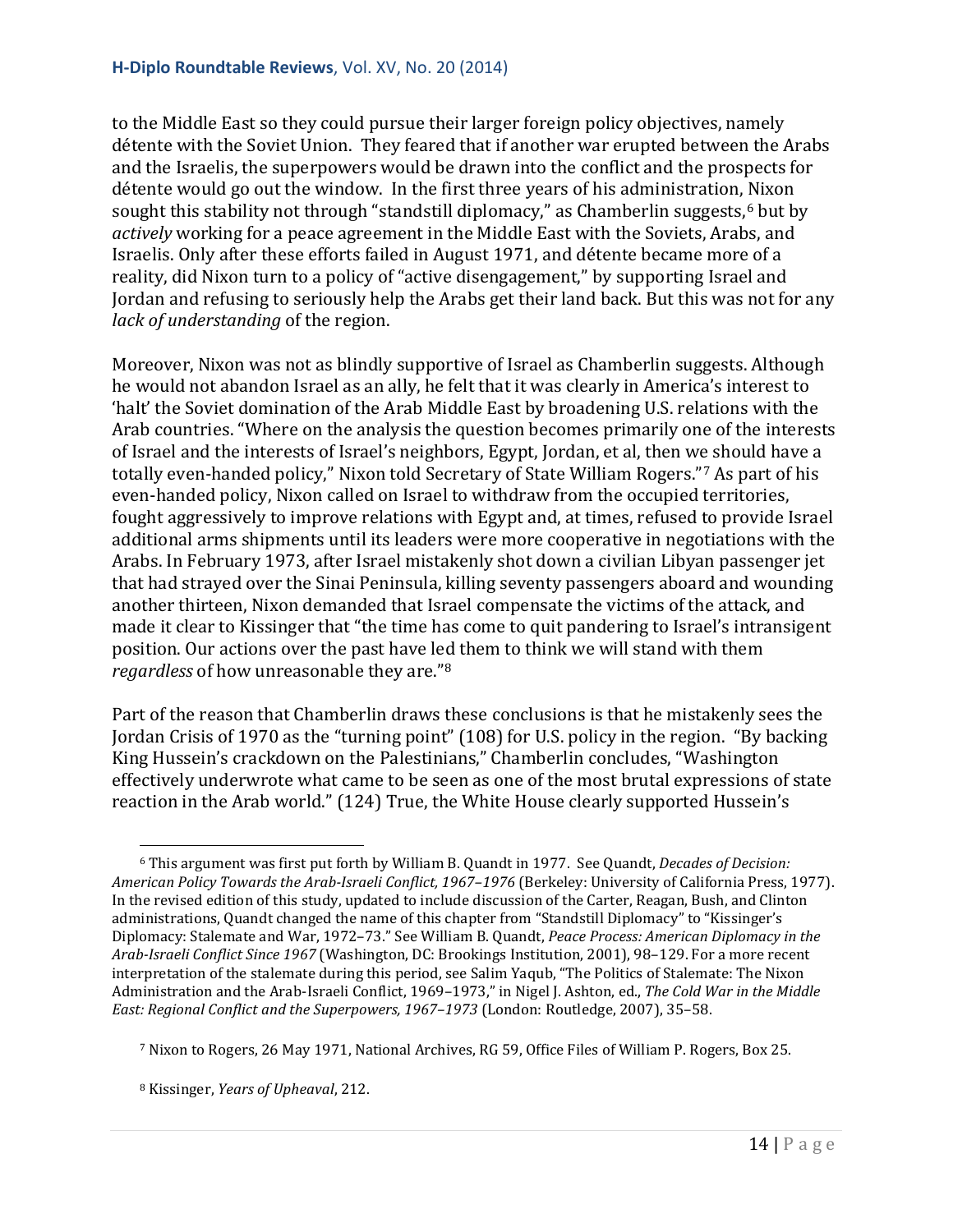to the Middle East so they could pursue their larger foreign policy objectives, namely détente with the Soviet Union. They feared that if another war erupted between the Arabs and the Israelis, the superpowers would be drawn into the conflict and the prospects for détente would go out the window. In the first three years of his administration, Nixon sought this stability not through "standstill diplomacy," as Chamberlin suggests,<sup>[6](#page-13-0)</sup> but by *actively* working for a peace agreement in the Middle East with the Soviets, Arabs, and Israelis. Only after these efforts failed in August 1971, and détente became more of a reality, did Nixon turn to a policy of "active disengagement," by supporting Israel and Jordan and refusing to seriously help the Arabs get their land back. But this was not for any *lack of understanding* of the region.

Moreover, Nixon was not as blindly supportive of Israel as Chamberlin suggests. Although he would not abandon Israel as an ally, he felt that it was clearly in America's interest to 'halt' the Soviet domination of the Arab Middle East by broadening U.S. relations with the Arab countries. "Where on the analysis the question becomes primarily one of the interests of Israel and the interests of Israel's neighbors, Egypt, Jordan, et al, then we should have a totally even-handed policy," Nixon told Secretary of State William Rogers."[7](#page-13-1) As part of his even-handed policy, Nixon called on Israel to withdraw from the occupied territories, fought aggressively to improve relations with Egypt and, at times, refused to provide Israel additional arms shipments until its leaders were more cooperative in negotiations with the Arabs. In February 1973, after Israel mistakenly shot down a civilian Libyan passenger jet that had strayed over the Sinai Peninsula, killing seventy passengers aboard and wounding another thirteen, Nixon demanded that Israel compensate the victims of the attack, and made it clear to Kissinger that "the time has come to quit pandering to Israel's intransigent position. Our actions over the past have led them to think we will stand with them *regardless* of how unreasonable they are."[8](#page-13-2)

Part of the reason that Chamberlin draws these conclusions is that he mistakenly sees the Jordan Crisis of 1970 as the "turning point" (108) for U.S. policy in the region. "By backing King Hussein's crackdown on the Palestinians," Chamberlin concludes, "Washington effectively underwrote what came to be seen as one of the most brutal expressions of state reaction in the Arab world." (124) True, the White House clearly supported Hussein's

<span id="page-13-0"></span><sup>6</sup> This argument was first put forth by William B. Quandt in 1977. See Quandt, *Decades of Decision: American Policy Towards the Arab-Israeli Conflict, 1967–1976* (Berkeley: University of California Press, 1977). In the revised edition of this study, updated to include discussion of the Carter, Reagan, Bush, and Clinton administrations, Quandt changed the name of this chapter from "Standstill Diplomacy" to "Kissinger's Diplomacy: Stalemate and War, 1972–73." See William B. Quandt, *Peace Process: American Diplomacy in the Arab-Israeli Conflict Since 1967* (Washington, DC: Brookings Institution, 2001), 98–129. For a more recent interpretation of the stalemate during this period, see Salim Yaqub, "The Politics of Stalemate: The Nixon Administration and the Arab-Israeli Conflict, 1969–1973," in Nigel J. Ashton, ed., *The Cold War in the Middle East: Regional Conflict and the Superpowers, 1967–1973* (London: Routledge, 2007), 35–58. i<br>I

<span id="page-13-1"></span><sup>7</sup> Nixon to Rogers, 26 May 1971, National Archives, RG 59, Office Files of William P. Rogers, Box 25.

<span id="page-13-2"></span><sup>8</sup> Kissinger, *Years of Upheaval*, 212.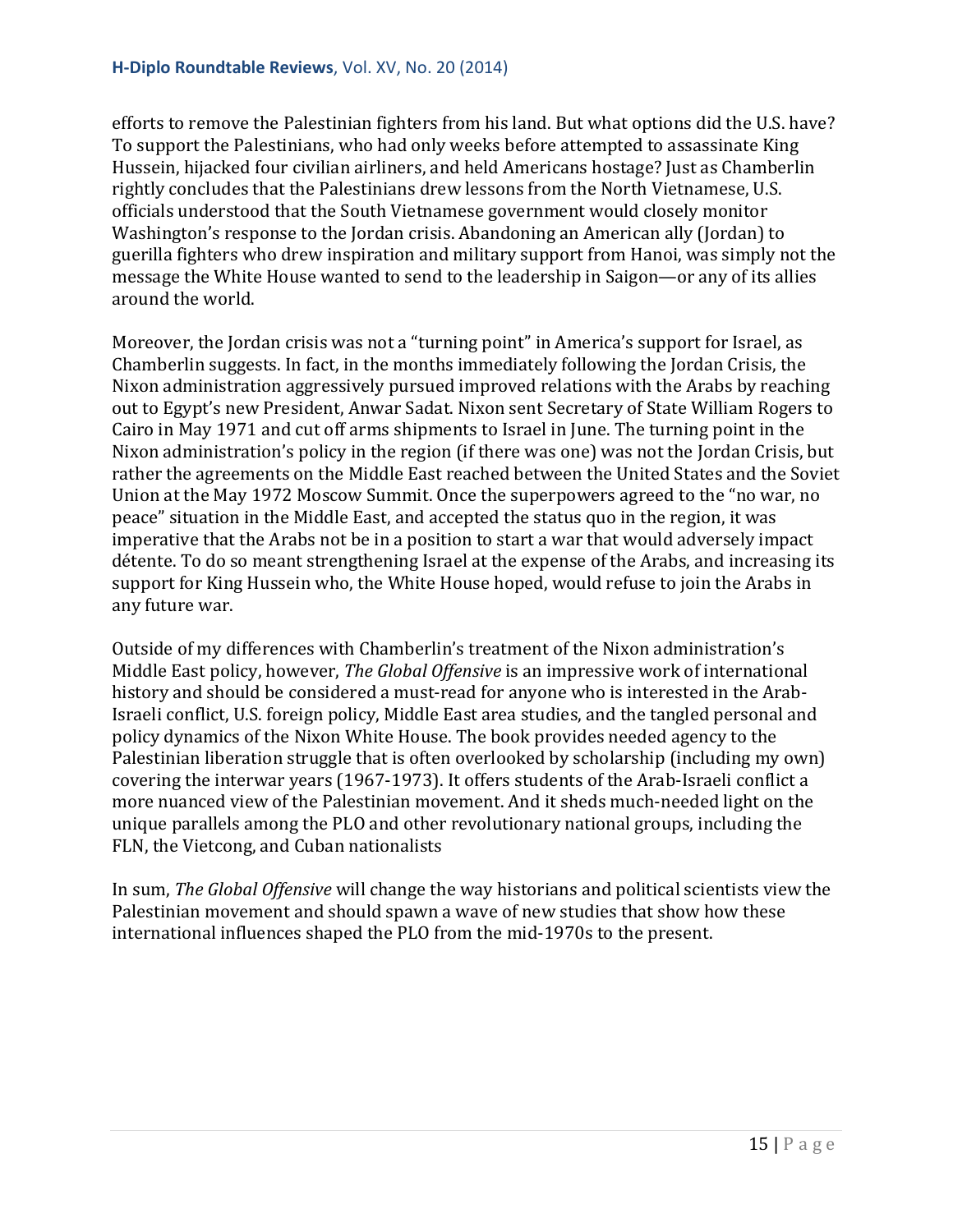efforts to remove the Palestinian fighters from his land. But what options did the U.S. have? To support the Palestinians, who had only weeks before attempted to assassinate King Hussein, hijacked four civilian airliners, and held Americans hostage? Just as Chamberlin rightly concludes that the Palestinians drew lessons from the North Vietnamese, U.S. officials understood that the South Vietnamese government would closely monitor Washington's response to the Jordan crisis. Abandoning an American ally (Jordan) to guerilla fighters who drew inspiration and military support from Hanoi, was simply not the message the White House wanted to send to the leadership in Saigon—or any of its allies around the world.

Moreover, the Jordan crisis was not a "turning point" in America's support for Israel, as Chamberlin suggests. In fact, in the months immediately following the Jordan Crisis, the Nixon administration aggressively pursued improved relations with the Arabs by reaching out to Egypt's new President, Anwar Sadat. Nixon sent Secretary of State William Rogers to Cairo in May 1971 and cut off arms shipments to Israel in June. The turning point in the Nixon administration's policy in the region (if there was one) was not the Jordan Crisis, but rather the agreements on the Middle East reached between the United States and the Soviet Union at the May 1972 Moscow Summit. Once the superpowers agreed to the "no war, no peace" situation in the Middle East, and accepted the status quo in the region, it was imperative that the Arabs not be in a position to start a war that would adversely impact détente. To do so meant strengthening Israel at the expense of the Arabs, and increasing its support for King Hussein who, the White House hoped, would refuse to join the Arabs in any future war.

Outside of my differences with Chamberlin's treatment of the Nixon administration's Middle East policy, however, *The Global Offensive* is an impressive work of international history and should be considered a must-read for anyone who is interested in the Arab-Israeli conflict, U.S. foreign policy, Middle East area studies, and the tangled personal and policy dynamics of the Nixon White House. The book provides needed agency to the Palestinian liberation struggle that is often overlooked by scholarship (including my own) covering the interwar years (1967-1973). It offers students of the Arab-Israeli conflict a more nuanced view of the Palestinian movement. And it sheds much-needed light on the unique parallels among the PLO and other revolutionary national groups, including the FLN, the Vietcong, and Cuban nationalists

In sum, *The Global Offensive* will change the way historians and political scientists view the Palestinian movement and should spawn a wave of new studies that show how these international influences shaped the PLO from the mid-1970s to the present.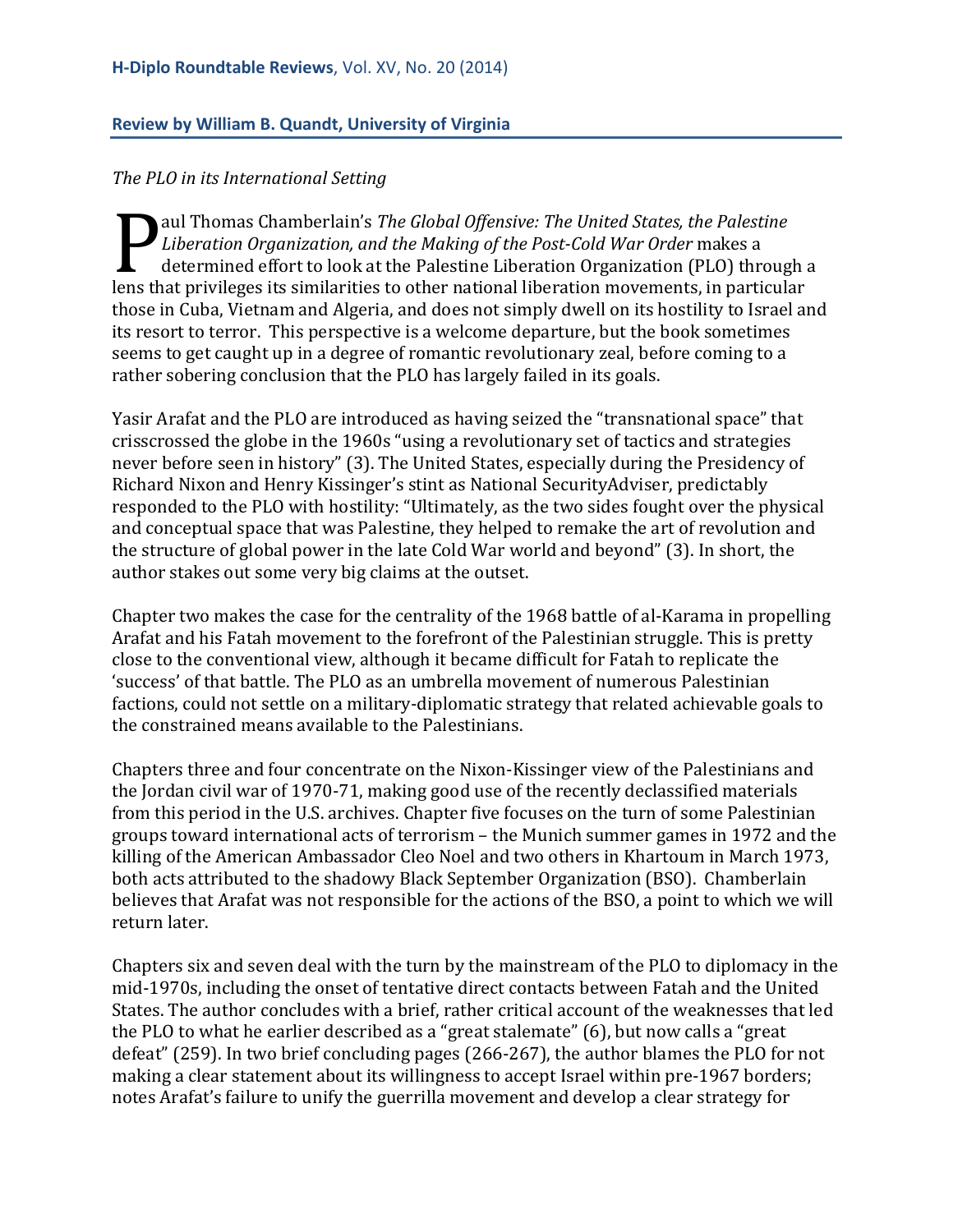#### <span id="page-15-0"></span>**Review by William B. Quandt, University of Virginia**

#### *The PLO in its International Setting*

aul Thomas Chamberlain's *The Global Offensive: The United States, the Palestine Liberation Organization, and the Making of the Post-Cold War Order* makes a determined effort to look at the Palestine Liberation Organization (PLO) through a Liberation Organization, and the Making of the Post-Cold War Order makes a<br>determined effort to look at the Palestine Liberation Organization (PLO) through a<br>lens that privileges its similarities to other national liberati those in Cuba, Vietnam and Algeria, and does not simply dwell on its hostility to Israel and its resort to terror. This perspective is a welcome departure, but the book sometimes seems to get caught up in a degree of romantic revolutionary zeal, before coming to a rather sobering conclusion that the PLO has largely failed in its goals.

Yasir Arafat and the PLO are introduced as having seized the "transnational space" that crisscrossed the globe in the 1960s "using a revolutionary set of tactics and strategies never before seen in history" (3). The United States, especially during the Presidency of Richard Nixon and Henry Kissinger's stint as National SecurityAdviser, predictably responded to the PLO with hostility: "Ultimately, as the two sides fought over the physical and conceptual space that was Palestine, they helped to remake the art of revolution and the structure of global power in the late Cold War world and beyond" (3). In short, the author stakes out some very big claims at the outset.

Chapter two makes the case for the centrality of the 1968 battle of al-Karama in propelling Arafat and his Fatah movement to the forefront of the Palestinian struggle. This is pretty close to the conventional view, although it became difficult for Fatah to replicate the 'success' of that battle. The PLO as an umbrella movement of numerous Palestinian factions, could not settle on a military-diplomatic strategy that related achievable goals to the constrained means available to the Palestinians.

Chapters three and four concentrate on the Nixon-Kissinger view of the Palestinians and the Jordan civil war of 1970-71, making good use of the recently declassified materials from this period in the U.S. archives. Chapter five focuses on the turn of some Palestinian groups toward international acts of terrorism – the Munich summer games in 1972 and the killing of the American Ambassador Cleo Noel and two others in Khartoum in March 1973, both acts attributed to the shadowy Black September Organization (BSO). Chamberlain believes that Arafat was not responsible for the actions of the BSO, a point to which we will return later.

Chapters six and seven deal with the turn by the mainstream of the PLO to diplomacy in the mid-1970s, including the onset of tentative direct contacts between Fatah and the United States. The author concludes with a brief, rather critical account of the weaknesses that led the PLO to what he earlier described as a "great stalemate" (6), but now calls a "great defeat" (259). In two brief concluding pages (266-267), the author blames the PLO for not making a clear statement about its willingness to accept Israel within pre-1967 borders; notes Arafat's failure to unify the guerrilla movement and develop a clear strategy for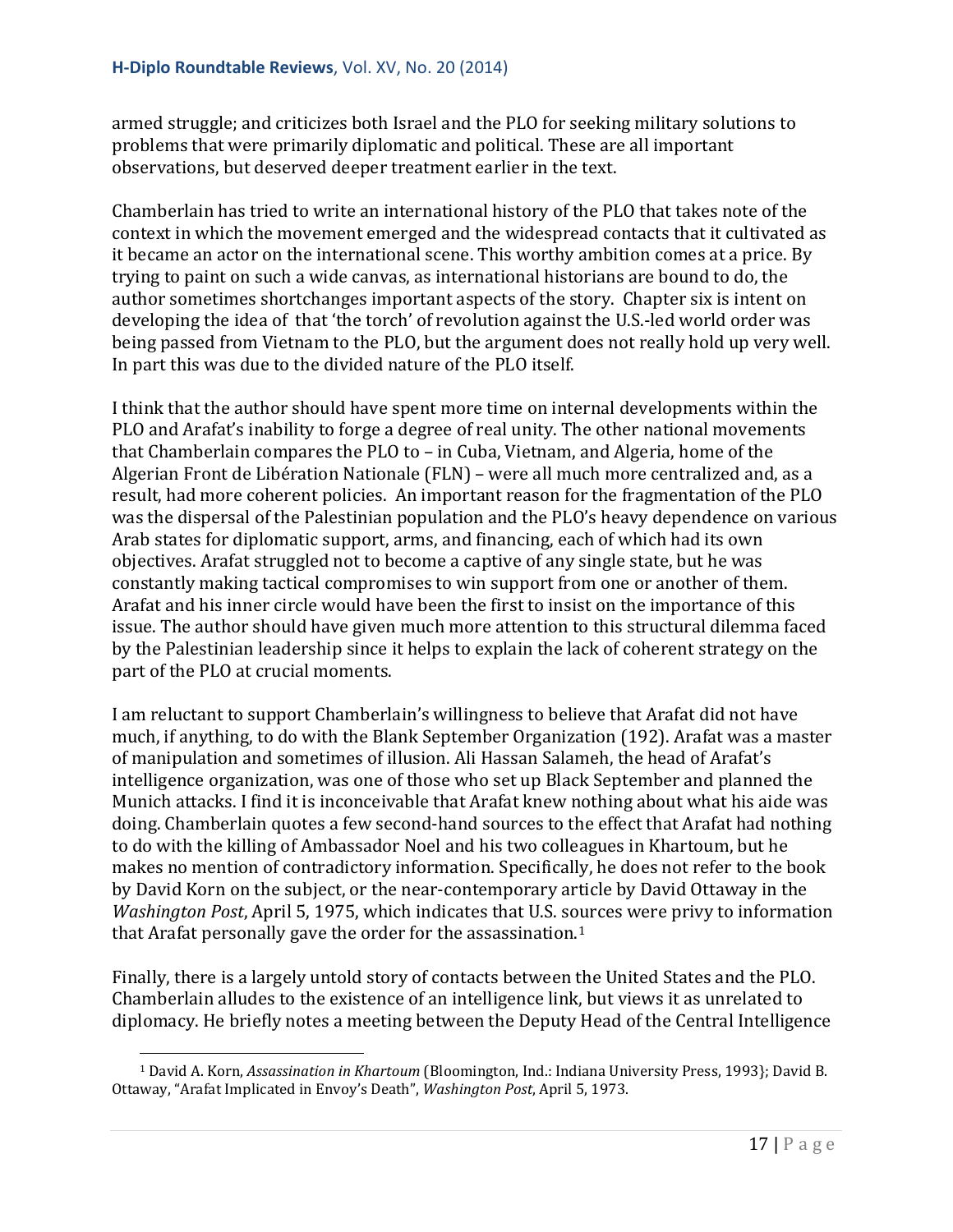armed struggle; and criticizes both Israel and the PLO for seeking military solutions to problems that were primarily diplomatic and political. These are all important observations, but deserved deeper treatment earlier in the text.

Chamberlain has tried to write an international history of the PLO that takes note of the context in which the movement emerged and the widespread contacts that it cultivated as it became an actor on the international scene. This worthy ambition comes at a price. By trying to paint on such a wide canvas, as international historians are bound to do, the author sometimes shortchanges important aspects of the story. Chapter six is intent on developing the idea of that 'the torch' of revolution against the U.S.-led world order was being passed from Vietnam to the PLO, but the argument does not really hold up very well. In part this was due to the divided nature of the PLO itself.

I think that the author should have spent more time on internal developments within the PLO and Arafat's inability to forge a degree of real unity. The other national movements that Chamberlain compares the PLO to – in Cuba, Vietnam, and Algeria, home of the Algerian Front de Libération Nationale (FLN) – were all much more centralized and, as a result, had more coherent policies. An important reason for the fragmentation of the PLO was the dispersal of the Palestinian population and the PLO's heavy dependence on various Arab states for diplomatic support, arms, and financing, each of which had its own objectives. Arafat struggled not to become a captive of any single state, but he was constantly making tactical compromises to win support from one or another of them. Arafat and his inner circle would have been the first to insist on the importance of this issue. The author should have given much more attention to this structural dilemma faced by the Palestinian leadership since it helps to explain the lack of coherent strategy on the part of the PLO at crucial moments.

I am reluctant to support Chamberlain's willingness to believe that Arafat did not have much, if anything, to do with the Blank September Organization (192). Arafat was a master of manipulation and sometimes of illusion. Ali Hassan Salameh, the head of Arafat's intelligence organization, was one of those who set up Black September and planned the Munich attacks. I find it is inconceivable that Arafat knew nothing about what his aide was doing. Chamberlain quotes a few second-hand sources to the effect that Arafat had nothing to do with the killing of Ambassador Noel and his two colleagues in Khartoum, but he makes no mention of contradictory information. Specifically, he does not refer to the book by David Korn on the subject, or the near-contemporary article by David Ottaway in the *Washington Post*, April 5, 1975, which indicates that U.S. sources were privy to information that Arafat personally gave the order for the assassination. $1$ 

Finally, there is a largely untold story of contacts between the United States and the PLO. Chamberlain alludes to the existence of an intelligence link, but views it as unrelated to diplomacy. He briefly notes a meeting between the Deputy Head of the Central Intelligence

<span id="page-16-0"></span><sup>1</sup> David A. Korn, *Assassination in Khartoum* (Bloomington, Ind.: Indiana University Press, 1993}; David B. Ottaway, "Arafat Implicated in Envoy's Death", *Washington Post*, April 5, 1973. i<br>I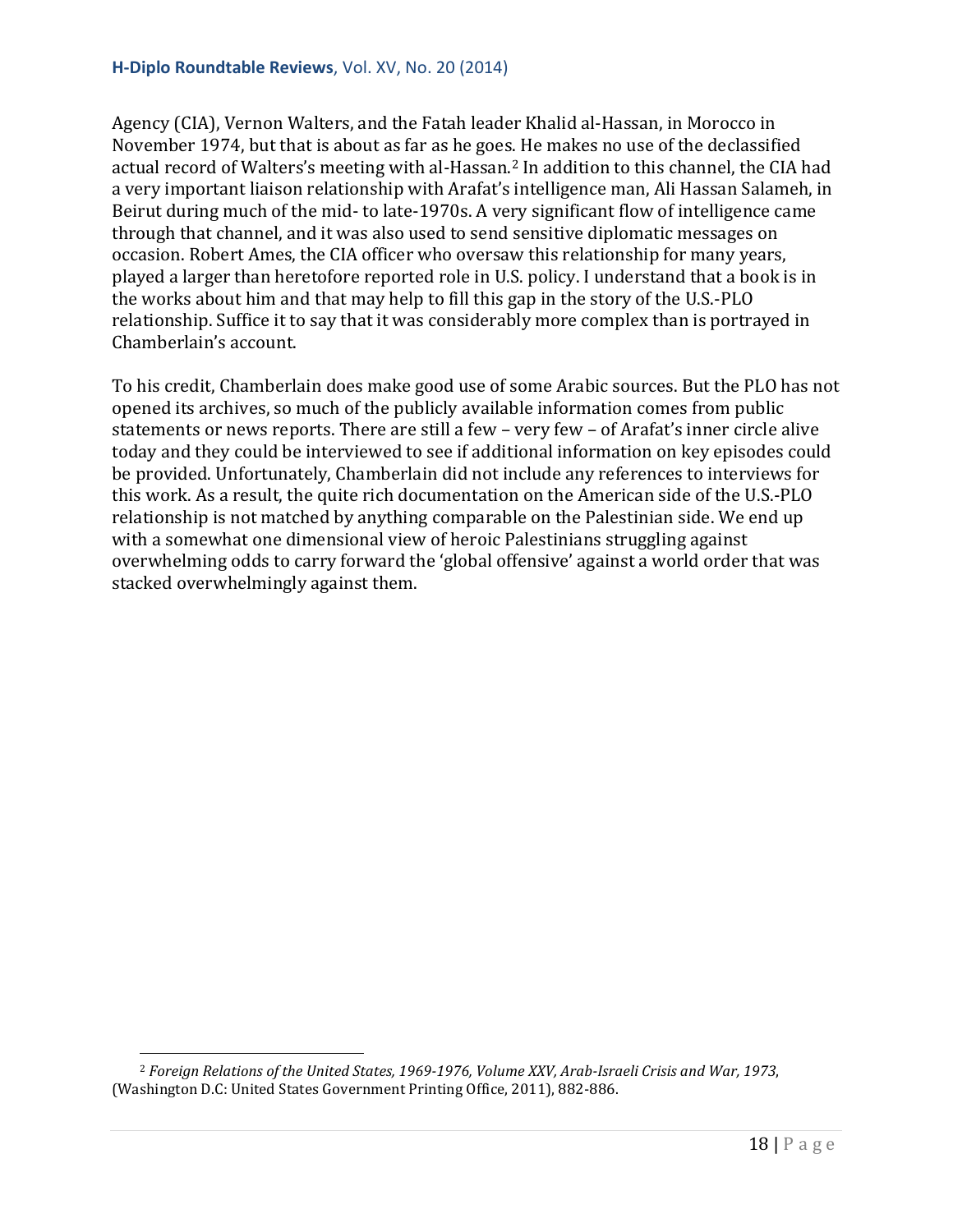## **H-Diplo Roundtable Reviews**, Vol. XV, No. 20 (2014)

Agency (CIA), Vernon Walters, and the Fatah leader Khalid al-Hassan, in Morocco in November 1974, but that is about as far as he goes. He makes no use of the declassified actual record of Walters's meeting with al-Hassan.[2](#page-17-0) In addition to this channel, the CIA had a very important liaison relationship with Arafat's intelligence man, Ali Hassan Salameh, in Beirut during much of the mid- to late-1970s. A very significant flow of intelligence came through that channel, and it was also used to send sensitive diplomatic messages on occasion. Robert Ames, the CIA officer who oversaw this relationship for many years, played a larger than heretofore reported role in U.S. policy. I understand that a book is in the works about him and that may help to fill this gap in the story of the U.S.-PLO relationship. Suffice it to say that it was considerably more complex than is portrayed in Chamberlain's account.

To his credit, Chamberlain does make good use of some Arabic sources. But the PLO has not opened its archives, so much of the publicly available information comes from public statements or news reports. There are still a few – very few – of Arafat's inner circle alive today and they could be interviewed to see if additional information on key episodes could be provided. Unfortunately, Chamberlain did not include any references to interviews for this work. As a result, the quite rich documentation on the American side of the U.S.-PLO relationship is not matched by anything comparable on the Palestinian side. We end up with a somewhat one dimensional view of heroic Palestinians struggling against overwhelming odds to carry forward the 'global offensive' against a world order that was stacked overwhelmingly against them.

<span id="page-17-0"></span><sup>2</sup> *Foreign Relations of the United States, 1969-1976, Volume XXV, Arab-Israeli Crisis and War, 1973*, (Washington D.C: United States Government Printing Office, 2011), 882-886. i<br>I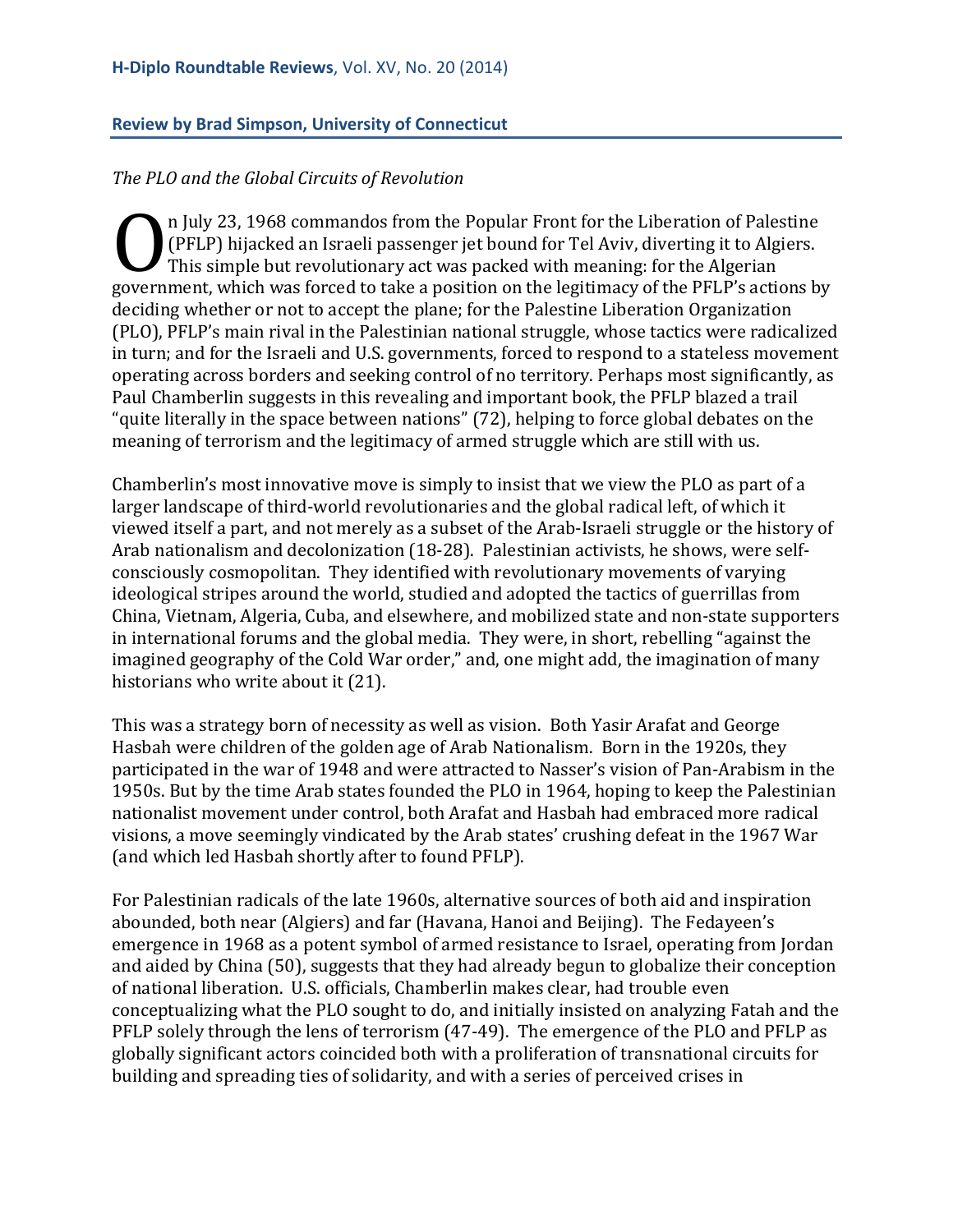#### <span id="page-18-0"></span>**Review by Brad Simpson, University of Connecticut**

#### *The PLO and the Global Circuits of Revolution*

n July 23, 1968 commandos from the Popular Front for the Liberation of Palestine (PFLP) hijacked an Israeli passenger jet bound for Tel Aviv, diverting it to Algiers. This simple but revolutionary act was packed with meaning: for the Algerian (PFLP) hijacked an Israeli passenger jet bound for Tel Aviv, diverting it to Algiers.<br>This simple but revolutionary act was packed with meaning: for the Algerian<br>government, which was forced to take a position on the legit deciding whether or not to accept the plane; for the Palestine Liberation Organization (PLO), PFLP's main rival in the Palestinian national struggle, whose tactics were radicalized in turn; and for the Israeli and U.S. governments, forced to respond to a stateless movement operating across borders and seeking control of no territory. Perhaps most significantly, as Paul Chamberlin suggests in this revealing and important book, the PFLP blazed a trail "quite literally in the space between nations" (72), helping to force global debates on the meaning of terrorism and the legitimacy of armed struggle which are still with us.

Chamberlin's most innovative move is simply to insist that we view the PLO as part of a larger landscape of third-world revolutionaries and the global radical left, of which it viewed itself a part, and not merely as a subset of the Arab-Israeli struggle or the history of Arab nationalism and decolonization (18-28). Palestinian activists, he shows, were selfconsciously cosmopolitan. They identified with revolutionary movements of varying ideological stripes around the world, studied and adopted the tactics of guerrillas from China, Vietnam, Algeria, Cuba, and elsewhere, and mobilized state and non-state supporters in international forums and the global media. They were, in short, rebelling "against the imagined geography of the Cold War order," and, one might add, the imagination of many historians who write about it (21).

This was a strategy born of necessity as well as vision. Both Yasir Arafat and George Hasbah were children of the golden age of Arab Nationalism. Born in the 1920s, they participated in the war of 1948 and were attracted to Nasser's vision of Pan-Arabism in the 1950s. But by the time Arab states founded the PLO in 1964, hoping to keep the Palestinian nationalist movement under control, both Arafat and Hasbah had embraced more radical visions, a move seemingly vindicated by the Arab states' crushing defeat in the 1967 War (and which led Hasbah shortly after to found PFLP).

For Palestinian radicals of the late 1960s, alternative sources of both aid and inspiration abounded, both near (Algiers) and far (Havana, Hanoi and Beijing). The Fedayeen's emergence in 1968 as a potent symbol of armed resistance to Israel, operating from Jordan and aided by China (50), suggests that they had already begun to globalize their conception of national liberation. U.S. officials, Chamberlin makes clear, had trouble even conceptualizing what the PLO sought to do, and initially insisted on analyzing Fatah and the PFLP solely through the lens of terrorism (47-49). The emergence of the PLO and PFLP as globally significant actors coincided both with a proliferation of transnational circuits for building and spreading ties of solidarity, and with a series of perceived crises in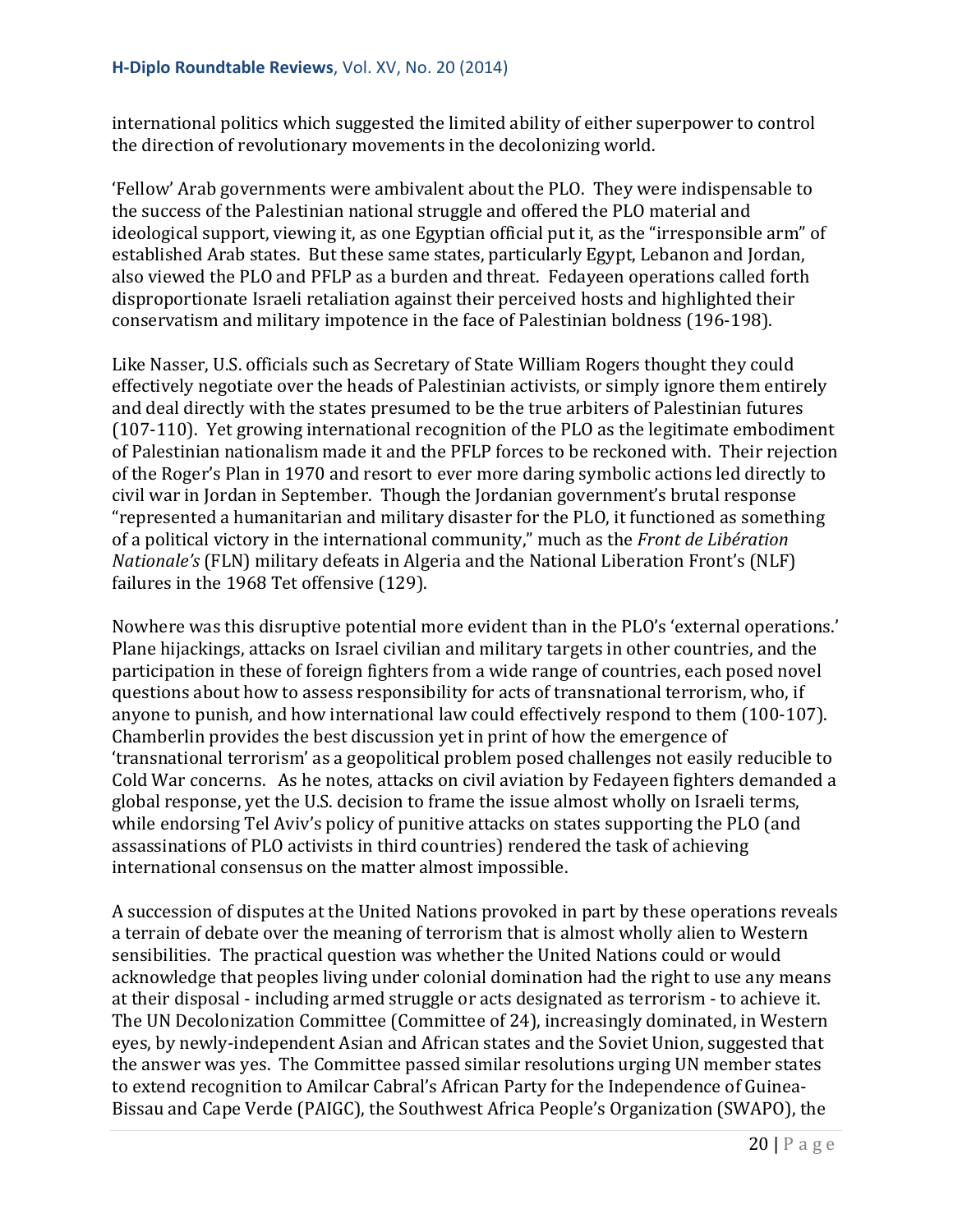international politics which suggested the limited ability of either superpower to control the direction of revolutionary movements in the decolonizing world.

'Fellow' Arab governments were ambivalent about the PLO. They were indispensable to the success of the Palestinian national struggle and offered the PLO material and ideological support, viewing it, as one Egyptian official put it, as the "irresponsible arm" of established Arab states. But these same states, particularly Egypt, Lebanon and Jordan, also viewed the PLO and PFLP as a burden and threat. Fedayeen operations called forth disproportionate Israeli retaliation against their perceived hosts and highlighted their conservatism and military impotence in the face of Palestinian boldness (196-198).

Like Nasser, U.S. officials such as Secretary of State William Rogers thought they could effectively negotiate over the heads of Palestinian activists, or simply ignore them entirely and deal directly with the states presumed to be the true arbiters of Palestinian futures (107-110). Yet growing international recognition of the PLO as the legitimate embodiment of Palestinian nationalism made it and the PFLP forces to be reckoned with. Their rejection of the Roger's Plan in 1970 and resort to ever more daring symbolic actions led directly to civil war in Jordan in September. Though the Jordanian government's brutal response "represented a humanitarian and military disaster for the PLO, it functioned as something of a political victory in the international community," much as the *Front de Libération Nationale's* (FLN) military defeats in Algeria and the National Liberation Front's (NLF) failures in the 1968 Tet offensive (129).

Nowhere was this disruptive potential more evident than in the PLO's 'external operations.' Plane hijackings, attacks on Israel civilian and military targets in other countries, and the participation in these of foreign fighters from a wide range of countries, each posed novel questions about how to assess responsibility for acts of transnational terrorism, who, if anyone to punish, and how international law could effectively respond to them (100-107). Chamberlin provides the best discussion yet in print of how the emergence of 'transnational terrorism' as a geopolitical problem posed challenges not easily reducible to Cold War concerns. As he notes, attacks on civil aviation by Fedayeen fighters demanded a global response, yet the U.S. decision to frame the issue almost wholly on Israeli terms, while endorsing Tel Aviv's policy of punitive attacks on states supporting the PLO (and assassinations of PLO activists in third countries) rendered the task of achieving international consensus on the matter almost impossible.

A succession of disputes at the United Nations provoked in part by these operations reveals a terrain of debate over the meaning of terrorism that is almost wholly alien to Western sensibilities. The practical question was whether the United Nations could or would acknowledge that peoples living under colonial domination had the right to use any means at their disposal - including armed struggle or acts designated as terrorism - to achieve it. The UN Decolonization Committee (Committee of 24), increasingly dominated, in Western eyes, by newly-independent Asian and African states and the Soviet Union, suggested that the answer was yes. The Committee passed similar resolutions urging UN member states to extend recognition to Amilcar Cabral's African Party for the Independence of Guinea-Bissau and Cape Verde (PAIGC), the Southwest Africa People's Organization (SWAPO), the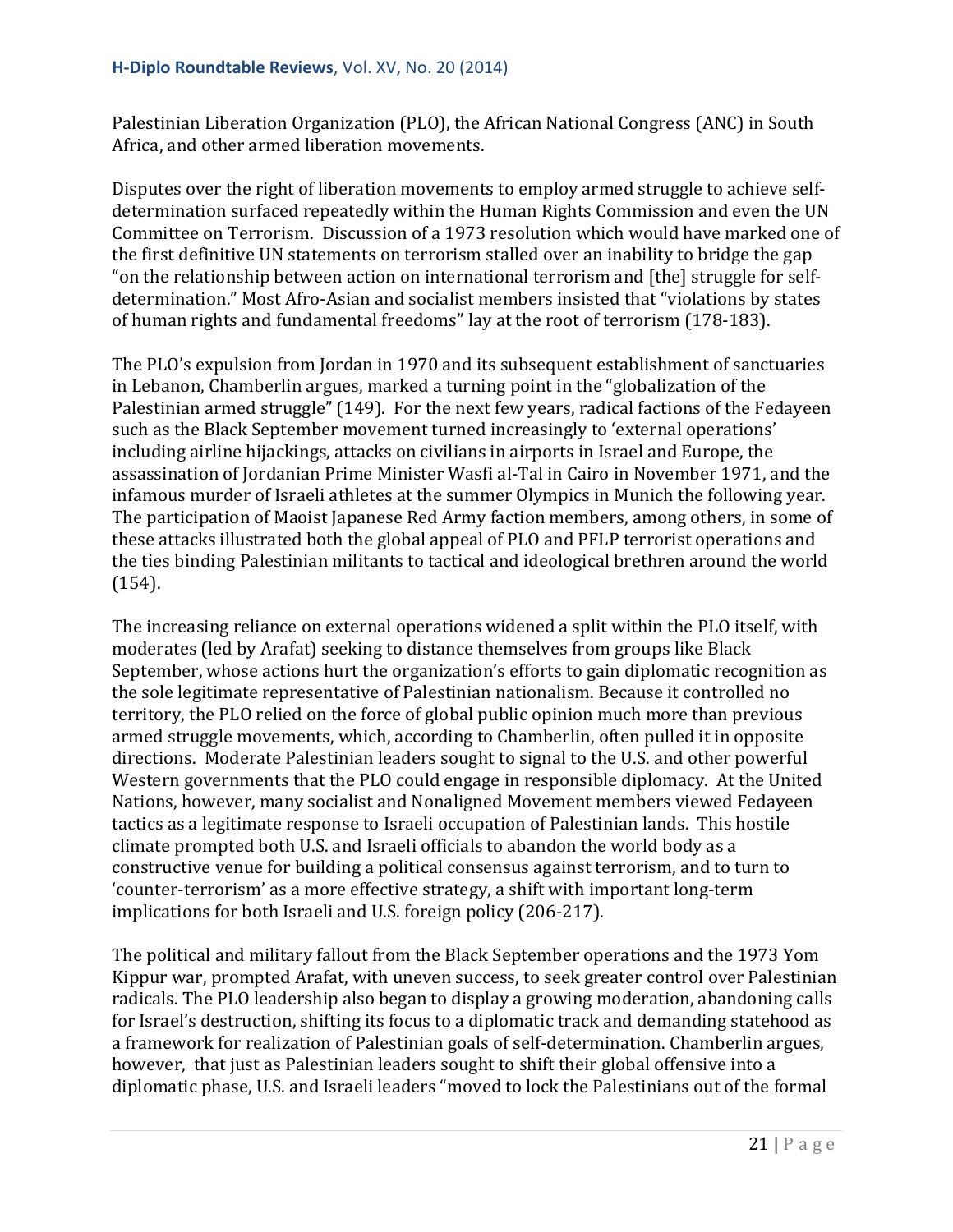Palestinian Liberation Organization (PLO), the African National Congress (ANC) in South Africa, and other armed liberation movements.

Disputes over the right of liberation movements to employ armed struggle to achieve selfdetermination surfaced repeatedly within the Human Rights Commission and even the UN Committee on Terrorism. Discussion of a 1973 resolution which would have marked one of the first definitive UN statements on terrorism stalled over an inability to bridge the gap "on the relationship between action on international terrorism and [the] struggle for selfdetermination." Most Afro-Asian and socialist members insisted that "violations by states of human rights and fundamental freedoms" lay at the root of terrorism (178-183).

The PLO's expulsion from Jordan in 1970 and its subsequent establishment of sanctuaries in Lebanon, Chamberlin argues, marked a turning point in the "globalization of the Palestinian armed struggle" (149). For the next few years, radical factions of the Fedayeen such as the Black September movement turned increasingly to 'external operations' including airline hijackings, attacks on civilians in airports in Israel and Europe, the assassination of Jordanian Prime Minister Wasfi al-Tal in Cairo in November 1971, and the infamous murder of Israeli athletes at the summer Olympics in Munich the following year. The participation of Maoist Japanese Red Army faction members, among others, in some of these attacks illustrated both the global appeal of PLO and PFLP terrorist operations and the ties binding Palestinian militants to tactical and ideological brethren around the world (154).

The increasing reliance on external operations widened a split within the PLO itself, with moderates (led by Arafat) seeking to distance themselves from groups like Black September, whose actions hurt the organization's efforts to gain diplomatic recognition as the sole legitimate representative of Palestinian nationalism. Because it controlled no territory, the PLO relied on the force of global public opinion much more than previous armed struggle movements, which, according to Chamberlin, often pulled it in opposite directions. Moderate Palestinian leaders sought to signal to the U.S. and other powerful Western governments that the PLO could engage in responsible diplomacy. At the United Nations, however, many socialist and Nonaligned Movement members viewed Fedayeen tactics as a legitimate response to Israeli occupation of Palestinian lands. This hostile climate prompted both U.S. and Israeli officials to abandon the world body as a constructive venue for building a political consensus against terrorism, and to turn to 'counter-terrorism' as a more effective strategy, a shift with important long-term implications for both Israeli and U.S. foreign policy (206-217).

The political and military fallout from the Black September operations and the 1973 Yom Kippur war, prompted Arafat, with uneven success, to seek greater control over Palestinian radicals. The PLO leadership also began to display a growing moderation, abandoning calls for Israel's destruction, shifting its focus to a diplomatic track and demanding statehood as a framework for realization of Palestinian goals of self-determination. Chamberlin argues, however, that just as Palestinian leaders sought to shift their global offensive into a diplomatic phase, U.S. and Israeli leaders "moved to lock the Palestinians out of the formal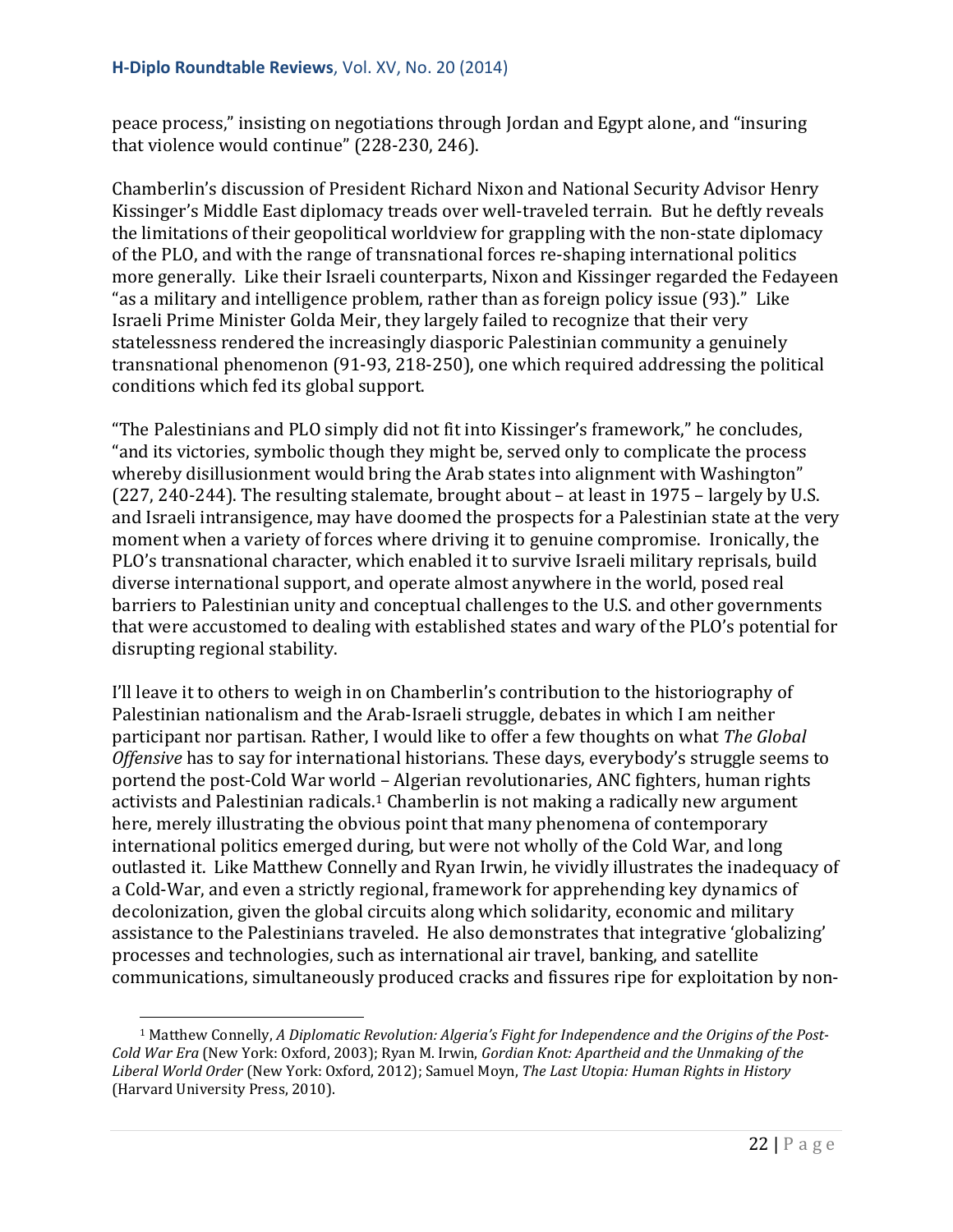peace process," insisting on negotiations through Jordan and Egypt alone, and "insuring that violence would continue" (228-230, 246).

Chamberlin's discussion of President Richard Nixon and National Security Advisor Henry Kissinger's Middle East diplomacy treads over well-traveled terrain. But he deftly reveals the limitations of their geopolitical worldview for grappling with the non-state diplomacy of the PLO, and with the range of transnational forces re-shaping international politics more generally. Like their Israeli counterparts, Nixon and Kissinger regarded the Fedayeen "as a military and intelligence problem, rather than as foreign policy issue (93)." Like Israeli Prime Minister Golda Meir, they largely failed to recognize that their very statelessness rendered the increasingly diasporic Palestinian community a genuinely transnational phenomenon (91-93, 218-250), one which required addressing the political conditions which fed its global support.

"The Palestinians and PLO simply did not fit into Kissinger's framework," he concludes, "and its victories, symbolic though they might be, served only to complicate the process whereby disillusionment would bring the Arab states into alignment with Washington" (227, 240-244). The resulting stalemate, brought about – at least in 1975 – largely by U.S. and Israeli intransigence, may have doomed the prospects for a Palestinian state at the very moment when a variety of forces where driving it to genuine compromise. Ironically, the PLO's transnational character, which enabled it to survive Israeli military reprisals, build diverse international support, and operate almost anywhere in the world, posed real barriers to Palestinian unity and conceptual challenges to the U.S. and other governments that were accustomed to dealing with established states and wary of the PLO's potential for disrupting regional stability.

I'll leave it to others to weigh in on Chamberlin's contribution to the historiography of Palestinian nationalism and the Arab-Israeli struggle, debates in which I am neither participant nor partisan. Rather, I would like to offer a few thoughts on what *The Global Offensive* has to say for international historians. These days, everybody's struggle seems to portend the post-Cold War world – Algerian revolutionaries, ANC fighters, human rights activists and Palestinian radicals.<sup>[1](#page-21-0)</sup> Chamberlin is not making a radically new argument here, merely illustrating the obvious point that many phenomena of contemporary international politics emerged during, but were not wholly of the Cold War, and long outlasted it. Like Matthew Connelly and Ryan Irwin, he vividly illustrates the inadequacy of a Cold-War, and even a strictly regional, framework for apprehending key dynamics of decolonization, given the global circuits along which solidarity, economic and military assistance to the Palestinians traveled. He also demonstrates that integrative 'globalizing' processes and technologies, such as international air travel, banking, and satellite communications, simultaneously produced cracks and fissures ripe for exploitation by non-

<span id="page-21-0"></span><sup>1</sup> Matthew Connelly, *A Diplomatic Revolution: Algeria's Fight for Independence and the Origins of the Post-Cold War Era* (New York: Oxford, 2003); Ryan M. Irwin, *Gordian Knot: Apartheid and the Unmaking of the Liberal World Order* (New York: Oxford, 2012); Samuel Moyn, *The Last Utopia: Human Rights in History* (Harvard University Press, 2010). i<br>I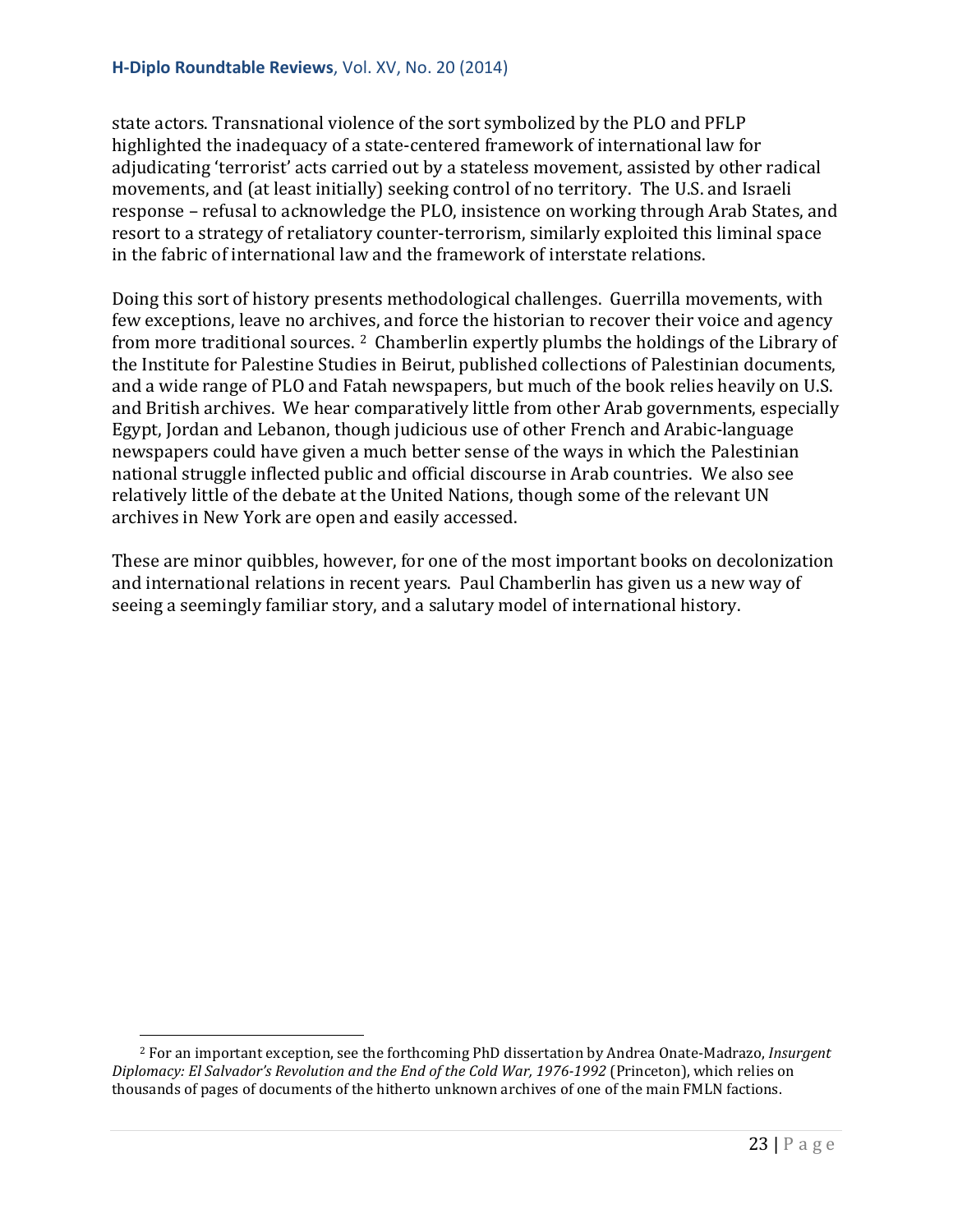state actors. Transnational violence of the sort symbolized by the PLO and PFLP highlighted the inadequacy of a state-centered framework of international law for adjudicating 'terrorist' acts carried out by a stateless movement, assisted by other radical movements, and (at least initially) seeking control of no territory. The U.S. and Israeli response – refusal to acknowledge the PLO, insistence on working through Arab States, and resort to a strategy of retaliatory counter-terrorism, similarly exploited this liminal space in the fabric of international law and the framework of interstate relations.

Doing this sort of history presents methodological challenges. Guerrilla movements, with few exceptions, leave no archives, and force the historian to recover their voice and agency from more traditional sources. [2](#page-22-0) Chamberlin expertly plumbs the holdings of the Library of the Institute for Palestine Studies in Beirut, published collections of Palestinian documents, and a wide range of PLO and Fatah newspapers, but much of the book relies heavily on U.S. and British archives. We hear comparatively little from other Arab governments, especially Egypt, Jordan and Lebanon, though judicious use of other French and Arabic-language newspapers could have given a much better sense of the ways in which the Palestinian national struggle inflected public and official discourse in Arab countries. We also see relatively little of the debate at the United Nations, though some of the relevant UN archives in New York are open and easily accessed.

These are minor quibbles, however, for one of the most important books on decolonization and international relations in recent years. Paul Chamberlin has given us a new way of seeing a seemingly familiar story, and a salutary model of international history.

<span id="page-22-0"></span><sup>2</sup> For an important exception, see the forthcoming PhD dissertation by Andrea Onate-Madrazo, *Insurgent Diplomacy: El Salvador's Revolution and the End of the Cold War, 1976-1992* (Princeton), which relies on thousands of pages of documents of the hitherto unknown archives of one of the main FMLN factions. I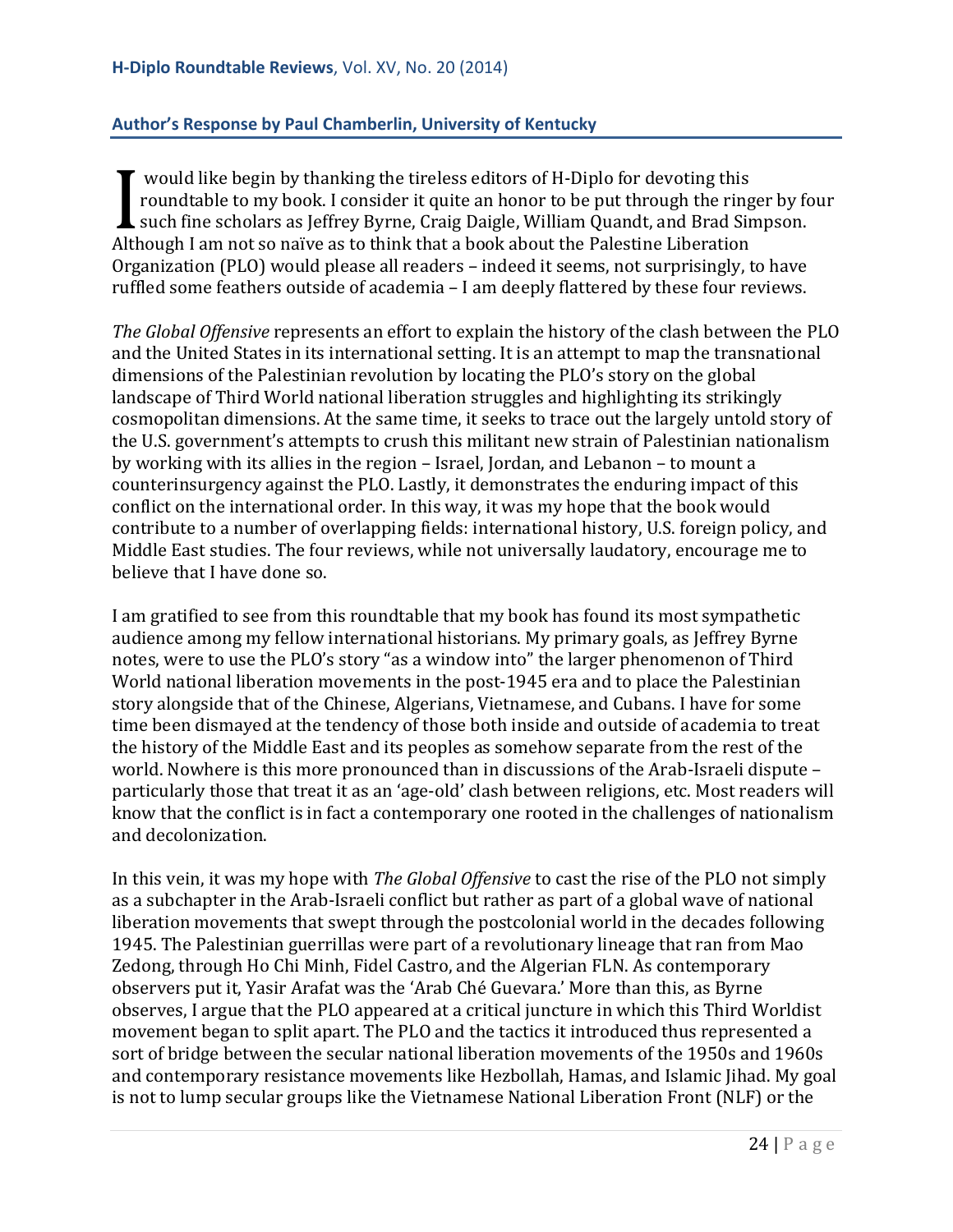#### <span id="page-23-0"></span>**Author's Response by Paul Chamberlin, University of Kentucky**

would like begin by thanking the tireless editors of H-Diplo for devoting this roundtable to my book. I consider it quite an honor to be put through the ringer by four such fine scholars as Jeffrey Byrne, Craig Daigle, William Quandt, and Brad Simpson. From the begin by thanking the theress editors of in-biplo for devoting this<br>roundtable to my book. I consider it quite an honor to be put through the ring<br>such fine scholars as Jeffrey Byrne, Craig Daigle, William Quandt, Organization (PLO) would please all readers – indeed it seems, not surprisingly, to have ruffled some feathers outside of academia – I am deeply flattered by these four reviews.

*The Global Offensive* represents an effort to explain the history of the clash between the PLO and the United States in its international setting. It is an attempt to map the transnational dimensions of the Palestinian revolution by locating the PLO's story on the global landscape of Third World national liberation struggles and highlighting its strikingly cosmopolitan dimensions. At the same time, it seeks to trace out the largely untold story of the U.S. government's attempts to crush this militant new strain of Palestinian nationalism by working with its allies in the region – Israel, Jordan, and Lebanon – to mount a counterinsurgency against the PLO. Lastly, it demonstrates the enduring impact of this conflict on the international order. In this way, it was my hope that the book would contribute to a number of overlapping fields: international history, U.S. foreign policy, and Middle East studies. The four reviews, while not universally laudatory, encourage me to believe that I have done so.

I am gratified to see from this roundtable that my book has found its most sympathetic audience among my fellow international historians. My primary goals, as Jeffrey Byrne notes, were to use the PLO's story "as a window into" the larger phenomenon of Third World national liberation movements in the post-1945 era and to place the Palestinian story alongside that of the Chinese, Algerians, Vietnamese, and Cubans. I have for some time been dismayed at the tendency of those both inside and outside of academia to treat the history of the Middle East and its peoples as somehow separate from the rest of the world. Nowhere is this more pronounced than in discussions of the Arab-Israeli dispute – particularly those that treat it as an 'age-old' clash between religions, etc. Most readers will know that the conflict is in fact a contemporary one rooted in the challenges of nationalism and decolonization.

In this vein, it was my hope with *The Global Offensive* to cast the rise of the PLO not simply as a subchapter in the Arab-Israeli conflict but rather as part of a global wave of national liberation movements that swept through the postcolonial world in the decades following 1945. The Palestinian guerrillas were part of a revolutionary lineage that ran from Mao Zedong, through Ho Chi Minh, Fidel Castro, and the Algerian FLN. As contemporary observers put it, Yasir Arafat was the 'Arab Ché Guevara.' More than this, as Byrne observes, I argue that the PLO appeared at a critical juncture in which this Third Worldist movement began to split apart. The PLO and the tactics it introduced thus represented a sort of bridge between the secular national liberation movements of the 1950s and 1960s and contemporary resistance movements like Hezbollah, Hamas, and Islamic Jihad. My goal is not to lump secular groups like the Vietnamese National Liberation Front (NLF) or the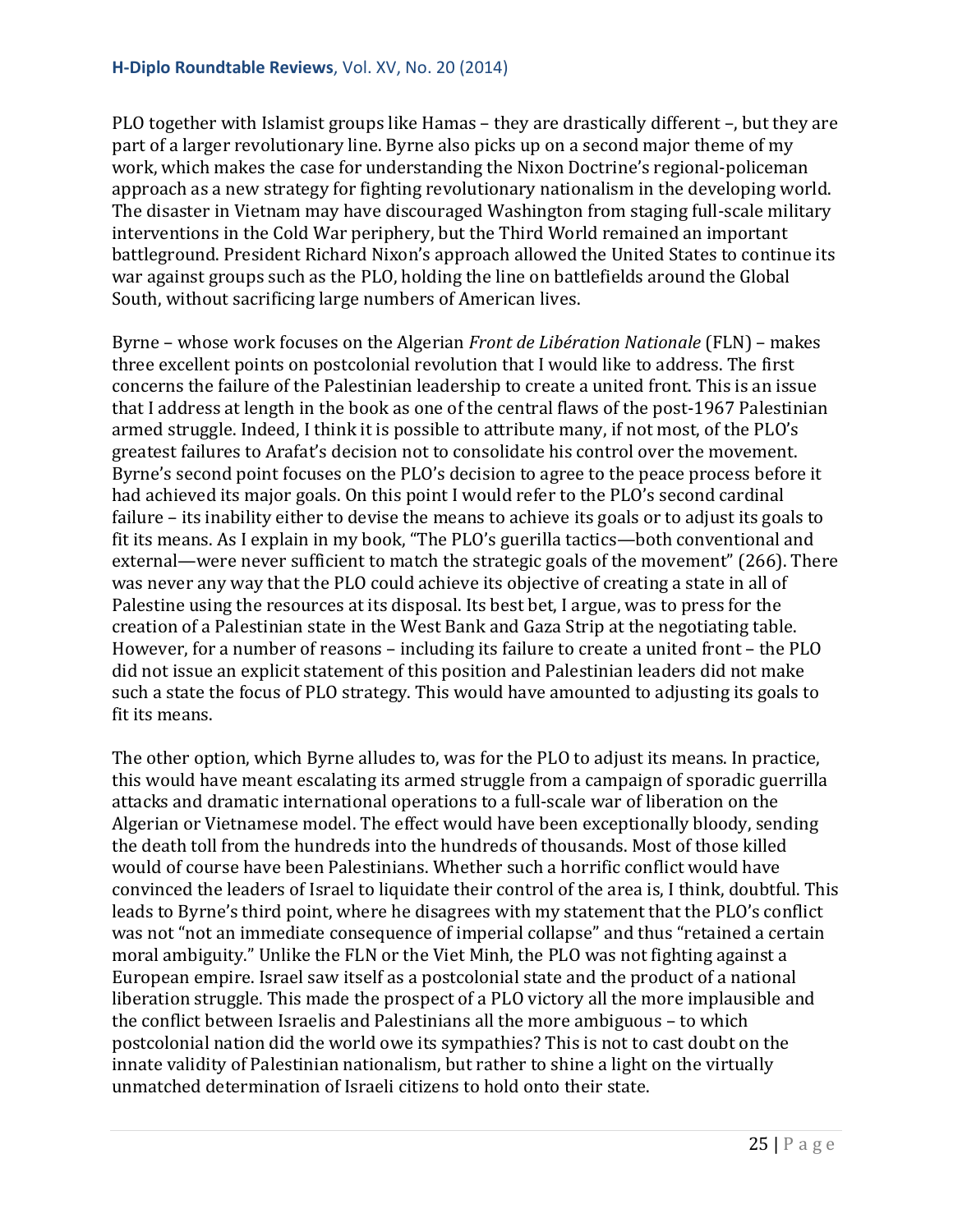PLO together with Islamist groups like Hamas – they are drastically different –, but they are part of a larger revolutionary line. Byrne also picks up on a second major theme of my work, which makes the case for understanding the Nixon Doctrine's regional-policeman approach as a new strategy for fighting revolutionary nationalism in the developing world. The disaster in Vietnam may have discouraged Washington from staging full-scale military interventions in the Cold War periphery, but the Third World remained an important battleground. President Richard Nixon's approach allowed the United States to continue its war against groups such as the PLO, holding the line on battlefields around the Global South, without sacrificing large numbers of American lives.

Byrne – whose work focuses on the Algerian *Front de Libération Nationale* (FLN) – makes three excellent points on postcolonial revolution that I would like to address. The first concerns the failure of the Palestinian leadership to create a united front. This is an issue that I address at length in the book as one of the central flaws of the post-1967 Palestinian armed struggle. Indeed, I think it is possible to attribute many, if not most, of the PLO's greatest failures to Arafat's decision not to consolidate his control over the movement. Byrne's second point focuses on the PLO's decision to agree to the peace process before it had achieved its major goals. On this point I would refer to the PLO's second cardinal failure – its inability either to devise the means to achieve its goals or to adjust its goals to fit its means. As I explain in my book, "The PLO's guerilla tactics—both conventional and external—were never sufficient to match the strategic goals of the movement" (266). There was never any way that the PLO could achieve its objective of creating a state in all of Palestine using the resources at its disposal. Its best bet, I argue, was to press for the creation of a Palestinian state in the West Bank and Gaza Strip at the negotiating table. However, for a number of reasons – including its failure to create a united front – the PLO did not issue an explicit statement of this position and Palestinian leaders did not make such a state the focus of PLO strategy. This would have amounted to adjusting its goals to fit its means.

The other option, which Byrne alludes to, was for the PLO to adjust its means. In practice, this would have meant escalating its armed struggle from a campaign of sporadic guerrilla attacks and dramatic international operations to a full-scale war of liberation on the Algerian or Vietnamese model. The effect would have been exceptionally bloody, sending the death toll from the hundreds into the hundreds of thousands. Most of those killed would of course have been Palestinians. Whether such a horrific conflict would have convinced the leaders of Israel to liquidate their control of the area is, I think, doubtful. This leads to Byrne's third point, where he disagrees with my statement that the PLO's conflict was not "not an immediate consequence of imperial collapse" and thus "retained a certain moral ambiguity." Unlike the FLN or the Viet Minh, the PLO was not fighting against a European empire. Israel saw itself as a postcolonial state and the product of a national liberation struggle. This made the prospect of a PLO victory all the more implausible and the conflict between Israelis and Palestinians all the more ambiguous – to which postcolonial nation did the world owe its sympathies? This is not to cast doubt on the innate validity of Palestinian nationalism, but rather to shine a light on the virtually unmatched determination of Israeli citizens to hold onto their state.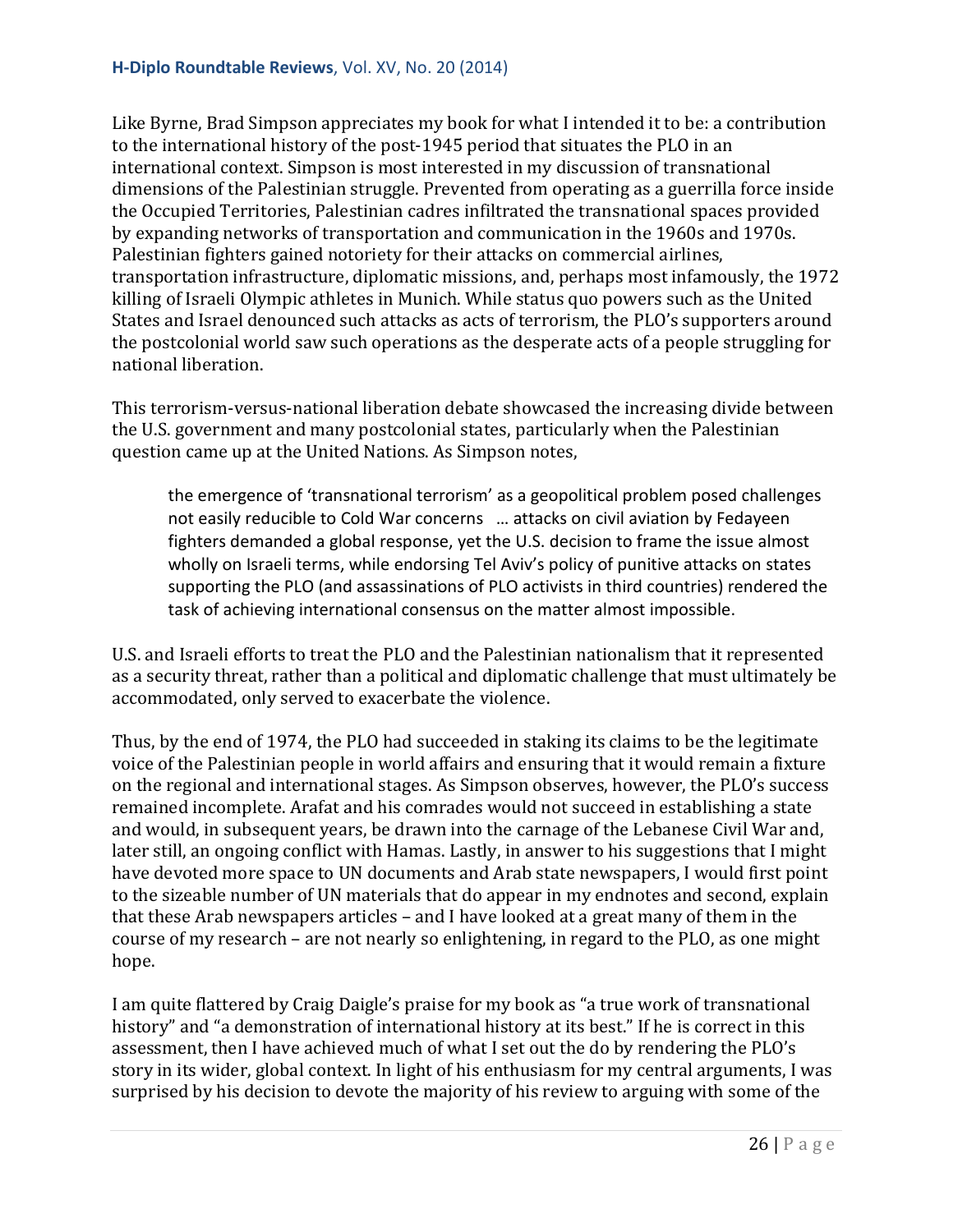Like Byrne, Brad Simpson appreciates my book for what I intended it to be: a contribution to the international history of the post-1945 period that situates the PLO in an international context. Simpson is most interested in my discussion of transnational dimensions of the Palestinian struggle. Prevented from operating as a guerrilla force inside the Occupied Territories, Palestinian cadres infiltrated the transnational spaces provided by expanding networks of transportation and communication in the 1960s and 1970s. Palestinian fighters gained notoriety for their attacks on commercial airlines, transportation infrastructure, diplomatic missions, and, perhaps most infamously, the 1972 killing of Israeli Olympic athletes in Munich. While status quo powers such as the United States and Israel denounced such attacks as acts of terrorism, the PLO's supporters around the postcolonial world saw such operations as the desperate acts of a people struggling for national liberation.

This terrorism-versus-national liberation debate showcased the increasing divide between the U.S. government and many postcolonial states, particularly when the Palestinian question came up at the United Nations. As Simpson notes,

the emergence of 'transnational terrorism' as a geopolitical problem posed challenges not easily reducible to Cold War concerns … attacks on civil aviation by Fedayeen fighters demanded a global response, yet the U.S. decision to frame the issue almost wholly on Israeli terms, while endorsing Tel Aviv's policy of punitive attacks on states supporting the PLO (and assassinations of PLO activists in third countries) rendered the task of achieving international consensus on the matter almost impossible.

U.S. and Israeli efforts to treat the PLO and the Palestinian nationalism that it represented as a security threat, rather than a political and diplomatic challenge that must ultimately be accommodated, only served to exacerbate the violence.

Thus, by the end of 1974, the PLO had succeeded in staking its claims to be the legitimate voice of the Palestinian people in world affairs and ensuring that it would remain a fixture on the regional and international stages. As Simpson observes, however, the PLO's success remained incomplete. Arafat and his comrades would not succeed in establishing a state and would, in subsequent years, be drawn into the carnage of the Lebanese Civil War and, later still, an ongoing conflict with Hamas. Lastly, in answer to his suggestions that I might have devoted more space to UN documents and Arab state newspapers, I would first point to the sizeable number of UN materials that do appear in my endnotes and second, explain that these Arab newspapers articles – and I have looked at a great many of them in the course of my research – are not nearly so enlightening, in regard to the PLO, as one might hope.

I am quite flattered by Craig Daigle's praise for my book as "a true work of transnational history" and "a demonstration of international history at its best." If he is correct in this assessment, then I have achieved much of what I set out the do by rendering the PLO's story in its wider, global context. In light of his enthusiasm for my central arguments, I was surprised by his decision to devote the majority of his review to arguing with some of the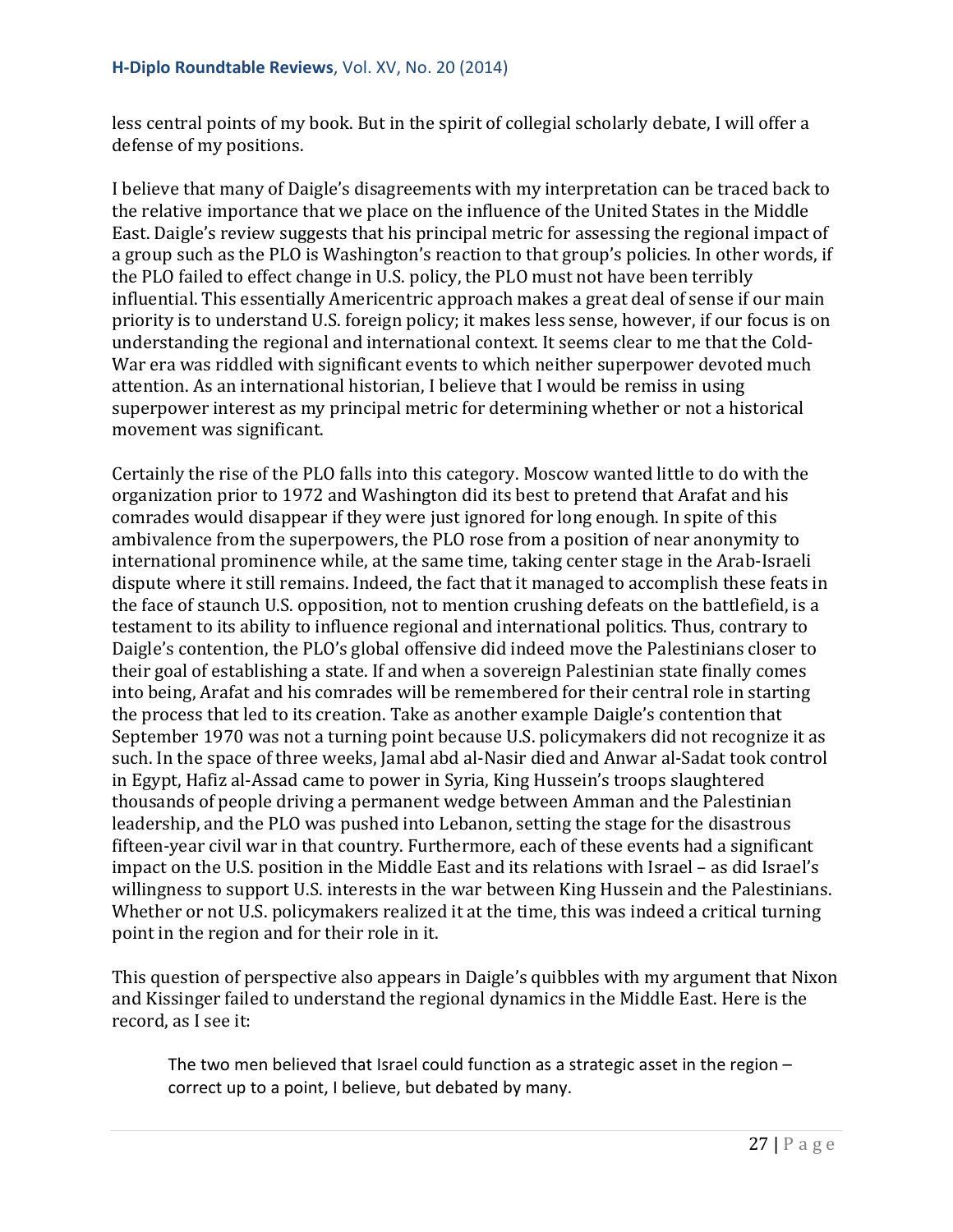less central points of my book. But in the spirit of collegial scholarly debate, I will offer a defense of my positions.

I believe that many of Daigle's disagreements with my interpretation can be traced back to the relative importance that we place on the influence of the United States in the Middle East. Daigle's review suggests that his principal metric for assessing the regional impact of a group such as the PLO is Washington's reaction to that group's policies. In other words, if the PLO failed to effect change in U.S. policy, the PLO must not have been terribly influential. This essentially Americentric approach makes a great deal of sense if our main priority is to understand U.S. foreign policy; it makes less sense, however, if our focus is on understanding the regional and international context. It seems clear to me that the Cold-War era was riddled with significant events to which neither superpower devoted much attention. As an international historian, I believe that I would be remiss in using superpower interest as my principal metric for determining whether or not a historical movement was significant.

Certainly the rise of the PLO falls into this category. Moscow wanted little to do with the organization prior to 1972 and Washington did its best to pretend that Arafat and his comrades would disappear if they were just ignored for long enough. In spite of this ambivalence from the superpowers, the PLO rose from a position of near anonymity to international prominence while, at the same time, taking center stage in the Arab-Israeli dispute where it still remains. Indeed, the fact that it managed to accomplish these feats in the face of staunch U.S. opposition, not to mention crushing defeats on the battlefield, is a testament to its ability to influence regional and international politics. Thus, contrary to Daigle's contention, the PLO's global offensive did indeed move the Palestinians closer to their goal of establishing a state. If and when a sovereign Palestinian state finally comes into being, Arafat and his comrades will be remembered for their central role in starting the process that led to its creation. Take as another example Daigle's contention that September 1970 was not a turning point because U.S. policymakers did not recognize it as such. In the space of three weeks, Jamal abd al-Nasir died and Anwar al-Sadat took control in Egypt, Hafiz al-Assad came to power in Syria, King Hussein's troops slaughtered thousands of people driving a permanent wedge between Amman and the Palestinian leadership, and the PLO was pushed into Lebanon, setting the stage for the disastrous fifteen-year civil war in that country. Furthermore, each of these events had a significant impact on the U.S. position in the Middle East and its relations with Israel – as did Israel's willingness to support U.S. interests in the war between King Hussein and the Palestinians. Whether or not U.S. policymakers realized it at the time, this was indeed a critical turning point in the region and for their role in it.

This question of perspective also appears in Daigle's quibbles with my argument that Nixon and Kissinger failed to understand the regional dynamics in the Middle East. Here is the record, as I see it:

The two men believed that Israel could function as a strategic asset in the region – correct up to a point, I believe, but debated by many.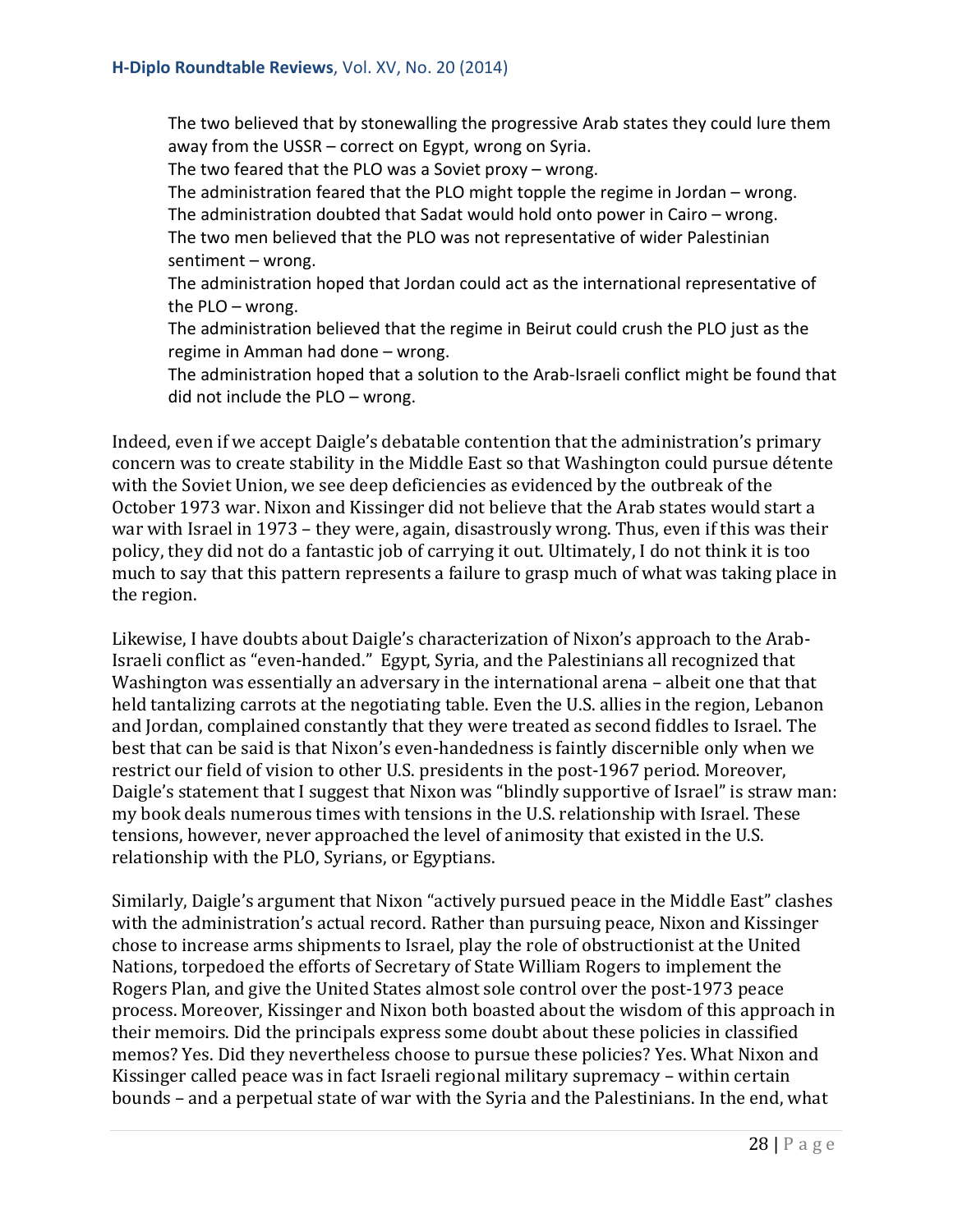The two believed that by stonewalling the progressive Arab states they could lure them away from the USSR – correct on Egypt, wrong on Syria.

The two feared that the PLO was a Soviet proxy – wrong.

The administration feared that the PLO might topple the regime in Jordan – wrong. The administration doubted that Sadat would hold onto power in Cairo – wrong.

The two men believed that the PLO was not representative of wider Palestinian sentiment – wrong.

The administration hoped that Jordan could act as the international representative of the PLO – wrong.

The administration believed that the regime in Beirut could crush the PLO just as the regime in Amman had done – wrong.

The administration hoped that a solution to the Arab-Israeli conflict might be found that did not include the PLO – wrong.

Indeed, even if we accept Daigle's debatable contention that the administration's primary concern was to create stability in the Middle East so that Washington could pursue détente with the Soviet Union, we see deep deficiencies as evidenced by the outbreak of the October 1973 war. Nixon and Kissinger did not believe that the Arab states would start a war with Israel in 1973 – they were, again, disastrously wrong. Thus, even if this was their policy, they did not do a fantastic job of carrying it out. Ultimately, I do not think it is too much to say that this pattern represents a failure to grasp much of what was taking place in the region.

Likewise, I have doubts about Daigle's characterization of Nixon's approach to the Arab-Israeli conflict as "even-handed." Egypt, Syria, and the Palestinians all recognized that Washington was essentially an adversary in the international arena – albeit one that that held tantalizing carrots at the negotiating table. Even the U.S. allies in the region, Lebanon and Jordan, complained constantly that they were treated as second fiddles to Israel. The best that can be said is that Nixon's even-handedness is faintly discernible only when we restrict our field of vision to other U.S. presidents in the post-1967 period. Moreover, Daigle's statement that I suggest that Nixon was "blindly supportive of Israel" is straw man: my book deals numerous times with tensions in the U.S. relationship with Israel. These tensions, however, never approached the level of animosity that existed in the U.S. relationship with the PLO, Syrians, or Egyptians.

Similarly, Daigle's argument that Nixon "actively pursued peace in the Middle East" clashes with the administration's actual record. Rather than pursuing peace, Nixon and Kissinger chose to increase arms shipments to Israel, play the role of obstructionist at the United Nations, torpedoed the efforts of Secretary of State William Rogers to implement the Rogers Plan, and give the United States almost sole control over the post-1973 peace process. Moreover, Kissinger and Nixon both boasted about the wisdom of this approach in their memoirs. Did the principals express some doubt about these policies in classified memos? Yes. Did they nevertheless choose to pursue these policies? Yes. What Nixon and Kissinger called peace was in fact Israeli regional military supremacy – within certain bounds – and a perpetual state of war with the Syria and the Palestinians. In the end, what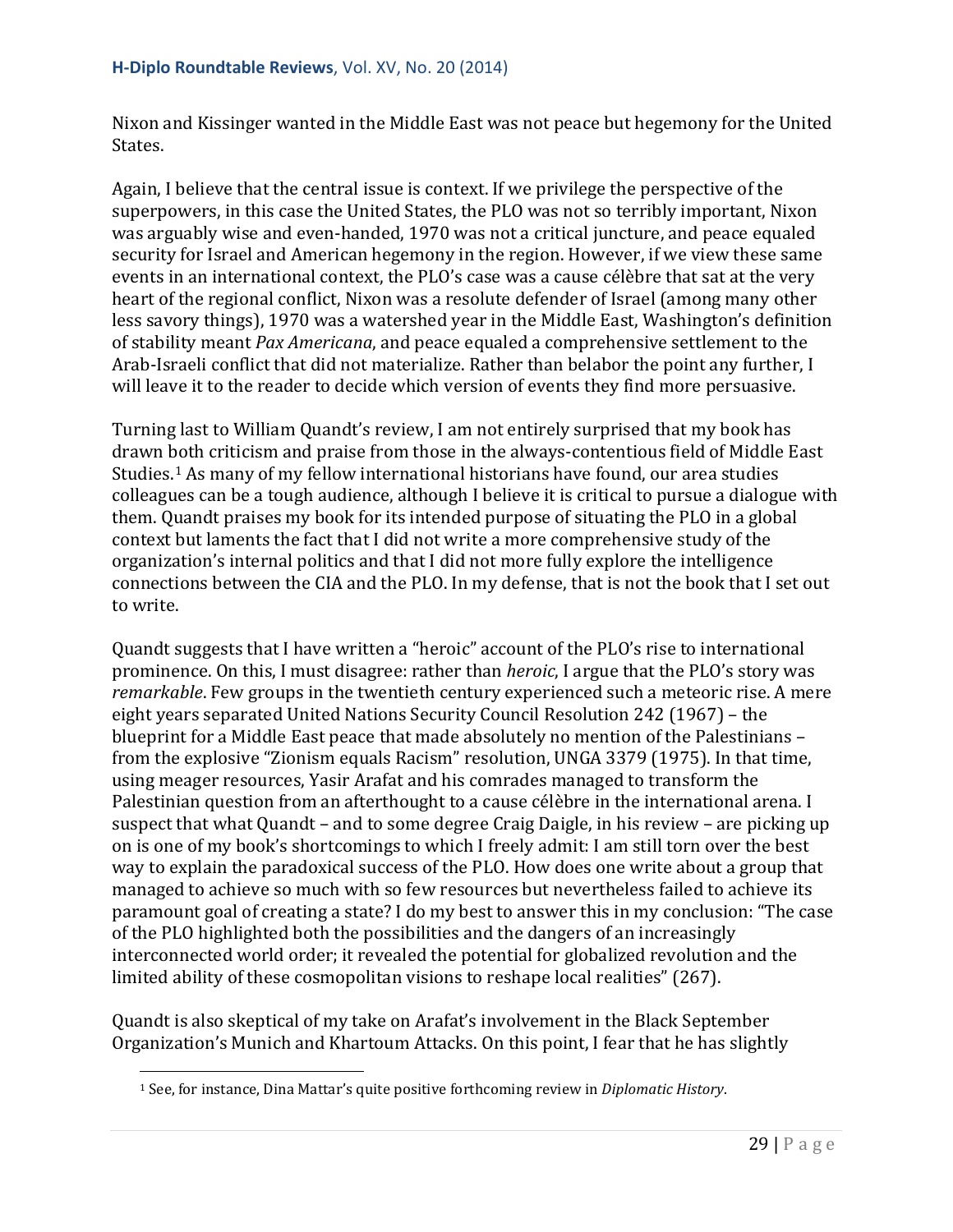Nixon and Kissinger wanted in the Middle East was not peace but hegemony for the United States.

Again, I believe that the central issue is context. If we privilege the perspective of the superpowers, in this case the United States, the PLO was not so terribly important, Nixon was arguably wise and even-handed, 1970 was not a critical juncture, and peace equaled security for Israel and American hegemony in the region. However, if we view these same events in an international context, the PLO's case was a cause célèbre that sat at the very heart of the regional conflict, Nixon was a resolute defender of Israel (among many other less savory things), 1970 was a watershed year in the Middle East, Washington's definition of stability meant *Pax Americana*, and peace equaled a comprehensive settlement to the Arab-Israeli conflict that did not materialize. Rather than belabor the point any further, I will leave it to the reader to decide which version of events they find more persuasive.

Turning last to William Quandt's review, I am not entirely surprised that my book has drawn both criticism and praise from those in the always-contentious field of Middle East Studies.[1](#page-28-0) As many of my fellow international historians have found, our area studies colleagues can be a tough audience, although I believe it is critical to pursue a dialogue with them. Quandt praises my book for its intended purpose of situating the PLO in a global context but laments the fact that I did not write a more comprehensive study of the organization's internal politics and that I did not more fully explore the intelligence connections between the CIA and the PLO. In my defense, that is not the book that I set out to write.

Quandt suggests that I have written a "heroic" account of the PLO's rise to international prominence. On this, I must disagree: rather than *heroic*, I argue that the PLO's story was *remarkable*. Few groups in the twentieth century experienced such a meteoric rise. A mere eight years separated United Nations Security Council Resolution 242 (1967) – the blueprint for a Middle East peace that made absolutely no mention of the Palestinians – from the explosive "Zionism equals Racism" resolution, UNGA 3379 (1975). In that time, using meager resources, Yasir Arafat and his comrades managed to transform the Palestinian question from an afterthought to a cause célèbre in the international arena. I suspect that what Quandt – and to some degree Craig Daigle, in his review – are picking up on is one of my book's shortcomings to which I freely admit: I am still torn over the best way to explain the paradoxical success of the PLO. How does one write about a group that managed to achieve so much with so few resources but nevertheless failed to achieve its paramount goal of creating a state? I do my best to answer this in my conclusion: "The case of the PLO highlighted both the possibilities and the dangers of an increasingly interconnected world order; it revealed the potential for globalized revolution and the limited ability of these cosmopolitan visions to reshape local realities" (267).

<span id="page-28-0"></span>Quandt is also skeptical of my take on Arafat's involvement in the Black September Organization's Munich and Khartoum Attacks. On this point, I fear that he has slightly

<sup>1</sup> See, for instance, Dina Mattar's quite positive forthcoming review in *Diplomatic History*. i<br>I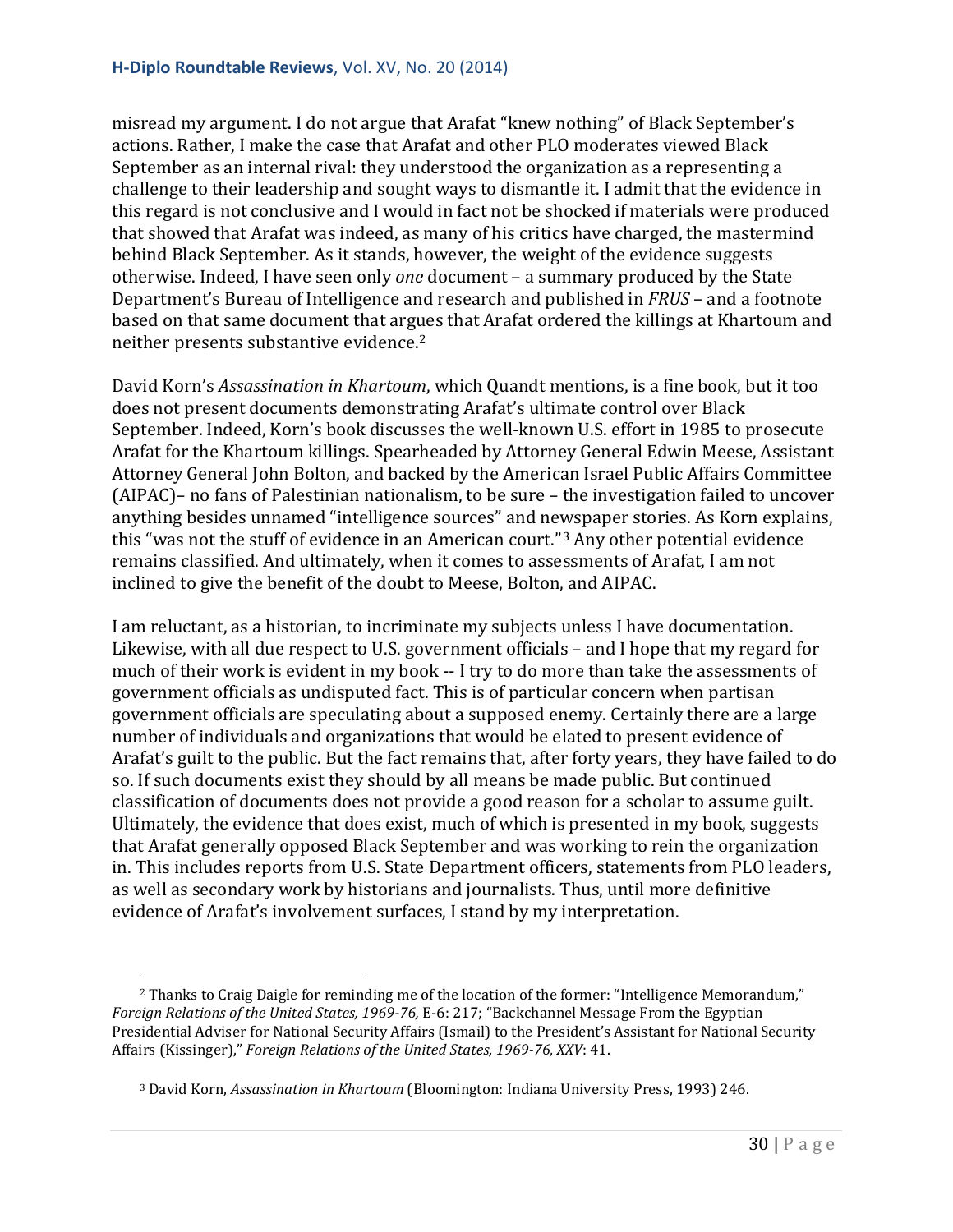misread my argument. I do not argue that Arafat "knew nothing" of Black September's actions. Rather, I make the case that Arafat and other PLO moderates viewed Black September as an internal rival: they understood the organization as a representing a challenge to their leadership and sought ways to dismantle it. I admit that the evidence in this regard is not conclusive and I would in fact not be shocked if materials were produced that showed that Arafat was indeed, as many of his critics have charged, the mastermind behind Black September. As it stands, however, the weight of the evidence suggests otherwise. Indeed, I have seen only *one* document – a summary produced by the State Department's Bureau of Intelligence and research and published in *FRUS* – and a footnote based on that same document that argues that Arafat ordered the killings at Khartoum and neither presents substantive evidence.[2](#page-29-0)

David Korn's *Assassination in Khartoum*, which Quandt mentions, is a fine book, but it too does not present documents demonstrating Arafat's ultimate control over Black September. Indeed, Korn's book discusses the well-known U.S. effort in 1985 to prosecute Arafat for the Khartoum killings. Spearheaded by Attorney General Edwin Meese, Assistant Attorney General John Bolton, and backed by the American Israel Public Affairs Committee (AIPAC)– no fans of Palestinian nationalism, to be sure – the investigation failed to uncover anything besides unnamed "intelligence sources" and newspaper stories. As Korn explains, this "was not the stuff of evidence in an American court."[3](#page-29-1) Any other potential evidence remains classified. And ultimately, when it comes to assessments of Arafat, I am not inclined to give the benefit of the doubt to Meese, Bolton, and AIPAC.

I am reluctant, as a historian, to incriminate my subjects unless I have documentation. Likewise, with all due respect to U.S. government officials – and I hope that my regard for much of their work is evident in my book -- I try to do more than take the assessments of government officials as undisputed fact. This is of particular concern when partisan government officials are speculating about a supposed enemy. Certainly there are a large number of individuals and organizations that would be elated to present evidence of Arafat's guilt to the public. But the fact remains that, after forty years, they have failed to do so. If such documents exist they should by all means be made public. But continued classification of documents does not provide a good reason for a scholar to assume guilt. Ultimately, the evidence that does exist, much of which is presented in my book, suggests that Arafat generally opposed Black September and was working to rein the organization in. This includes reports from U.S. State Department officers, statements from PLO leaders, as well as secondary work by historians and journalists. Thus, until more definitive evidence of Arafat's involvement surfaces, I stand by my interpretation.

<span id="page-29-0"></span><sup>2</sup> Thanks to Craig Daigle for reminding me of the location of the former: "Intelligence Memorandum," *Foreign Relations of the United States, 1969-76,* E-6: 217; "Backchannel Message From the Egyptian Presidential Adviser for National Security Affairs (Ismail) to the President's Assistant for National Security Affairs (Kissinger)," *Foreign Relations of the United States, 1969-76, XXV*: 41. i<br>I

<span id="page-29-1"></span><sup>3</sup> David Korn, *Assassination in Khartoum* (Bloomington: Indiana University Press, 1993) 246.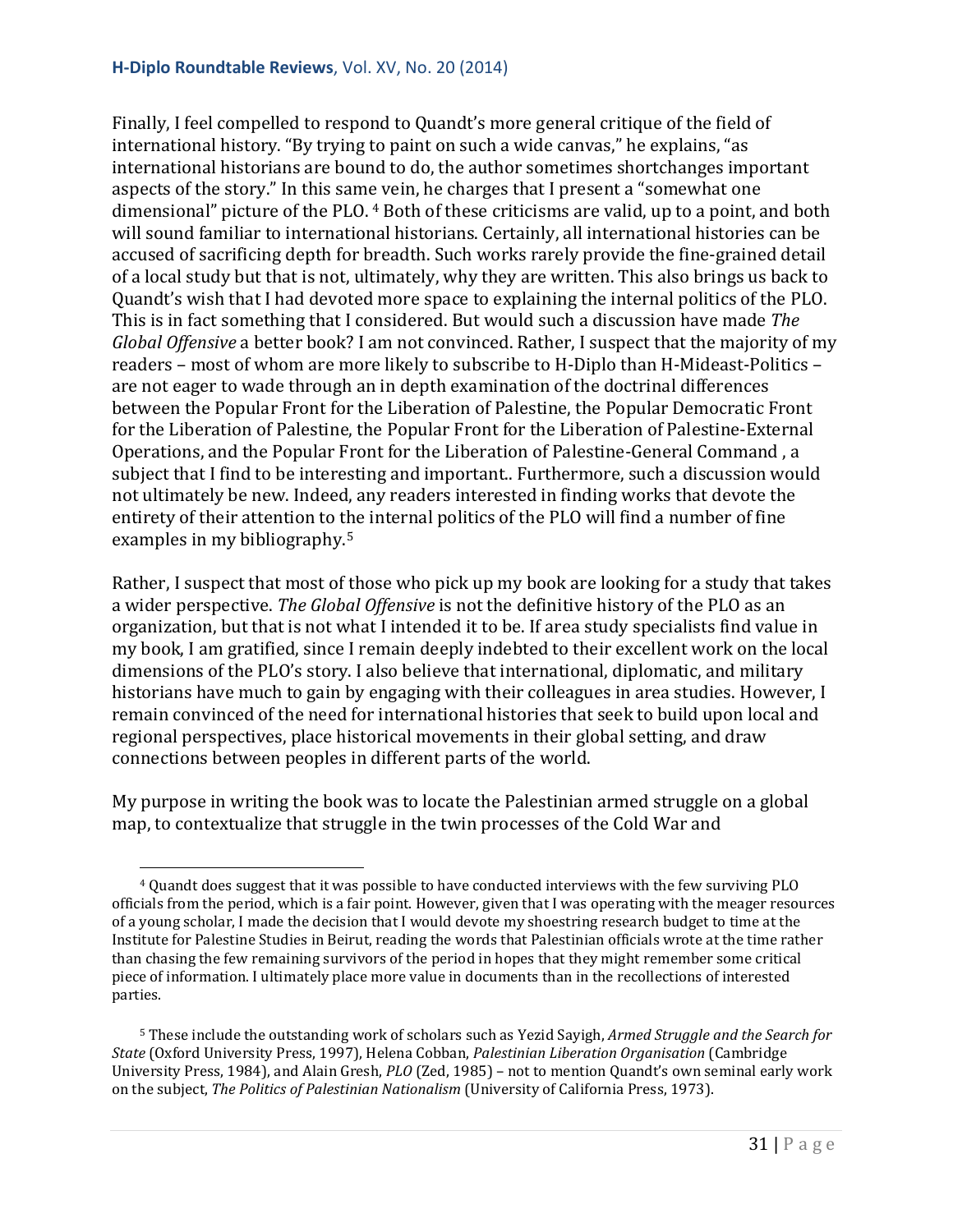Finally, I feel compelled to respond to Quandt's more general critique of the field of international history. "By trying to paint on such a wide canvas," he explains, "as international historians are bound to do, the author sometimes shortchanges important aspects of the story." In this sam[e](#page-30-0) vein, he charges that I present a "somewhat one dimensional" picture of the PLO. <sup>4</sup> Both of these criticisms are valid, up to a point, and both will sound familiar to international historians. Certainly, all international histories can be accused of sacrificing depth for breadth. Such works rarely provide the fine-grained detail of a local study but that is not, ultimately, why they are written. This also brings us back to Quandt's wish that I had devoted more space to explaining the internal politics of the PLO. This is in fact something that I considered. But would such a discussion have made *The Global Offensive* a better book? I am not convinced. Rather, I suspect that the majority of my readers – most of whom are more likely to subscribe to H-Diplo than H-Mideast-Politics – are not eager to wade through an in depth examination of the doctrinal differences between the Popular Front for the Liberation of Palestine, the Popular Democratic Front for the Liberation of Palestine, the Popular Front for the Liberation of Palestine-External Operations, and the Popular Front for the Liberation of Palestine-General Command , a subject that I find to be interesting and important.. Furthermore, such a discussion would not ultimately be new. Indeed, any readers interested in finding works that devote the entirety of their attention to the internal politics of the PLO will find a number of fine examples in my bibliography.[5](#page-30-1)

Rather, I suspect that most of those who pick up my book are looking for a study that takes a wider perspective. *The Global Offensive* is not the definitive history of the PLO as an organization, but that is not what I intended it to be. If area study specialists find value in my book, I am gratified, since I remain deeply indebted to their excellent work on the local dimensions of the PLO's story. I also believe that international, diplomatic, and military historians have much to gain by engaging with their colleagues in area studies. However, I remain convinced of the need for international histories that seek to build upon local and regional perspectives, place historical movements in their global setting, and draw connections between peoples in different parts of the world.

My purpose in writing the book was to locate the Palestinian armed struggle on a global map, to contextualize that struggle in the twin processes of the Cold War and

<span id="page-30-0"></span><sup>4</sup> Quandt does suggest that it was possible to have conducted interviews with the few surviving PLO officials from the period, which is a fair point. However, given that I was operating with the meager resources of a young scholar, I made the decision that I would devote my shoestring research budget to time at the Institute for Palestine Studies in Beirut, reading the words that Palestinian officials wrote at the time rather than chasing the few remaining survivors of the period in hopes that they might remember some critical piece of information. I ultimately place more value in documents than in the recollections of interested parties. i<br>I

<span id="page-30-1"></span><sup>5</sup> These include the outstanding work of scholars such as Yezid Sayigh, *Armed Struggle and the Search for State* (Oxford University Press, 1997), Helena Cobban, *Palestinian Liberation Organisation* (Cambridge University Press, 1984), and Alain Gresh, *PLO* (Zed, 1985) – not to mention Quandt's own seminal early work on the subject, *The Politics of Palestinian Nationalism* (University of California Press, 1973).